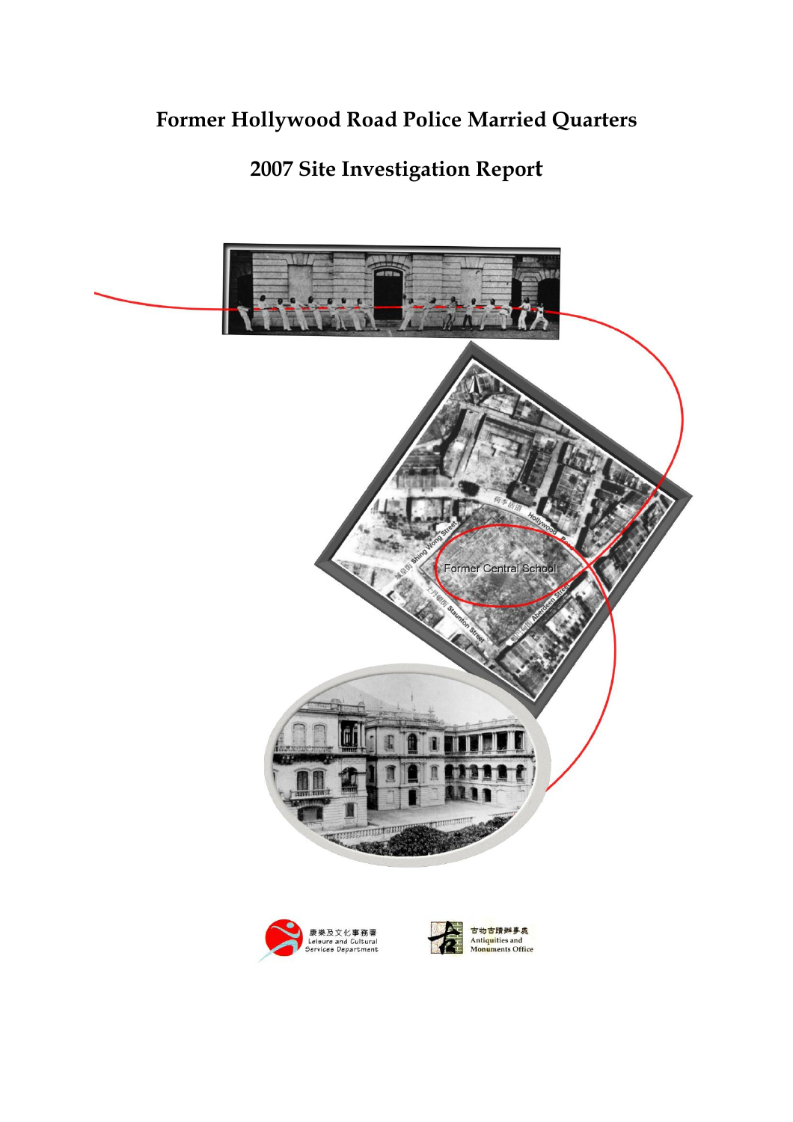# Former Hollywood Road Police Married Quarters

# 2007 Site Investigation Report

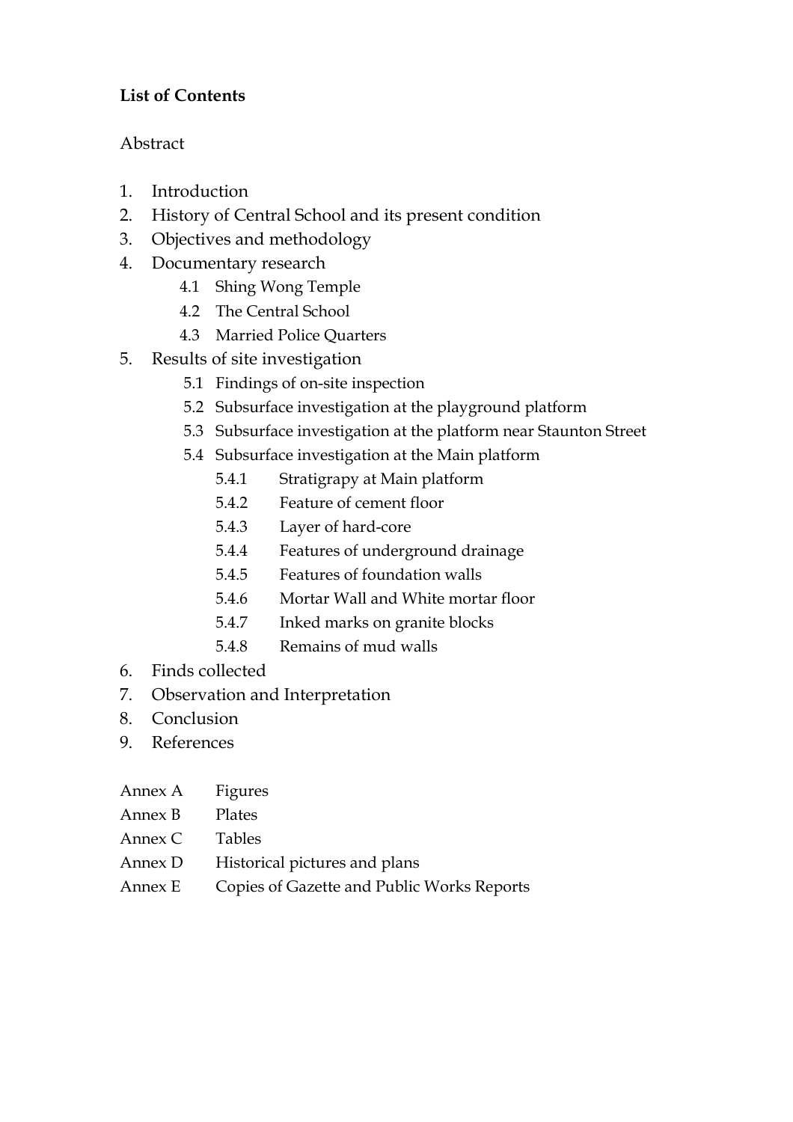# List of Contents

# Abstract

- 1. Introduction
- 2. History of Central School and its present condition
- 3. Objectives and methodology
- 4. Documentary research
	- 4.1 Shing Wong Temple
	- 4.2 The Central School
	- 4.3 Married Police Quarters
- 5. Results of site investigation
	- 5.1 Findings of on-site inspection
	- 5.2 Subsurface investigation at the playground platform
	- 5.3 Subsurface investigation at the platform near Staunton Street
	- 5.4 Subsurface investigation at the Main platform
		- 5.4.1 Stratigrapy at Main platform
		- 5.4.2 Feature of cement floor
		- 5.4.3 Layer of hard-core
		- 5.4.4 Features of underground drainage
		- 5.4.5 Features of foundation walls
		- 5.4.6 Mortar Wall and White mortar floor
		- 5.4.7 Inked marks on granite blocks
		- 5.4.8 Remains of mud walls
- 6. Finds collected
- 7. Observation and Interpretation
- 8. Conclusion
- 9. References
- Annex A Figures
- Annex B Plates
- Annex C Tables
- Annex D Historical pictures and plans
- Annex E Copies of Gazette and Public Works Reports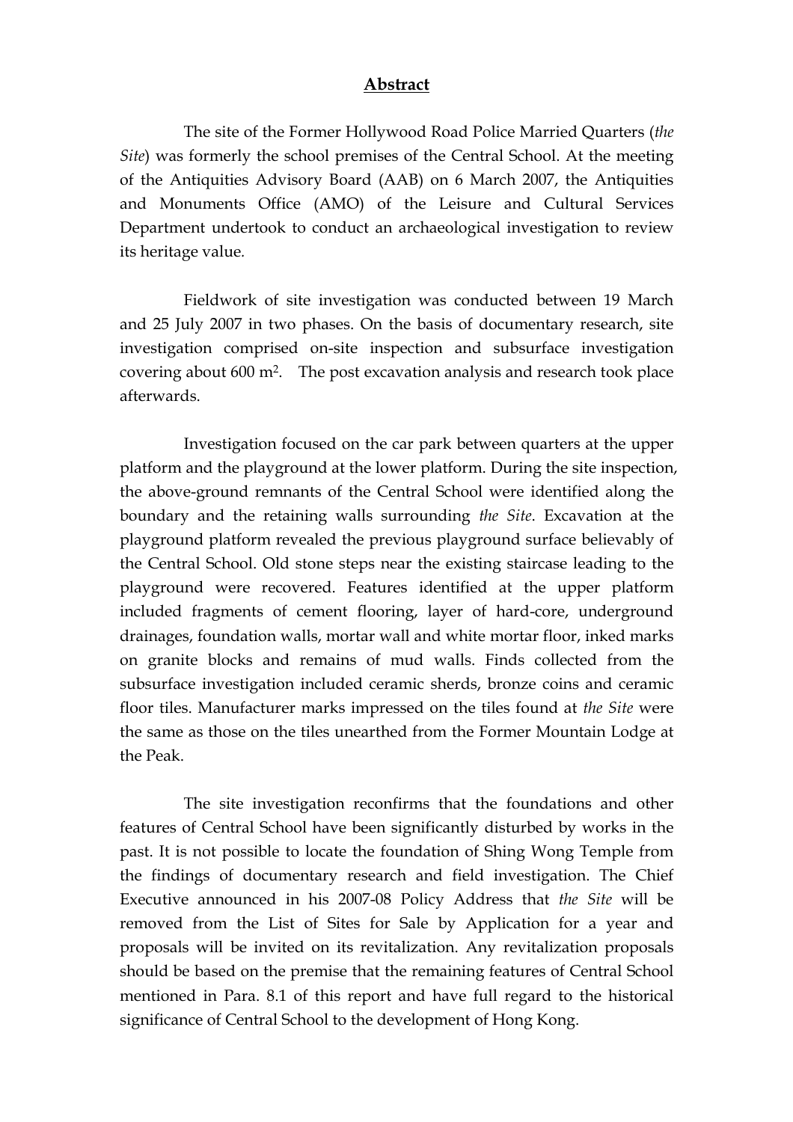#### Abstract

 The site of the Former Hollywood Road Police Married Quarters (the Site) was formerly the school premises of the Central School. At the meeting of the Antiquities Advisory Board (AAB) on 6 March 2007, the Antiquities and Monuments Office (AMO) of the Leisure and Cultural Services Department undertook to conduct an archaeological investigation to review its heritage value.

 Fieldwork of site investigation was conducted between 19 March and 25 July 2007 in two phases. On the basis of documentary research, site investigation comprised on-site inspection and subsurface investigation covering about 600 m<sup>2</sup>. The post excavation analysis and research took place afterwards.

 Investigation focused on the car park between quarters at the upper platform and the playground at the lower platform. During the site inspection, the above-ground remnants of the Central School were identified along the boundary and the retaining walls surrounding the Site. Excavation at the playground platform revealed the previous playground surface believably of the Central School. Old stone steps near the existing staircase leading to the playground were recovered. Features identified at the upper platform included fragments of cement flooring, layer of hard-core, underground drainages, foundation walls, mortar wall and white mortar floor, inked marks on granite blocks and remains of mud walls. Finds collected from the subsurface investigation included ceramic sherds, bronze coins and ceramic floor tiles. Manufacturer marks impressed on the tiles found at the Site were the same as those on the tiles unearthed from the Former Mountain Lodge at the Peak.

 The site investigation reconfirms that the foundations and other features of Central School have been significantly disturbed by works in the past. It is not possible to locate the foundation of Shing Wong Temple from the findings of documentary research and field investigation. The Chief Executive announced in his 2007-08 Policy Address that the Site will be removed from the List of Sites for Sale by Application for a year and proposals will be invited on its revitalization. Any revitalization proposals should be based on the premise that the remaining features of Central School mentioned in Para. 8.1 of this report and have full regard to the historical significance of Central School to the development of Hong Kong.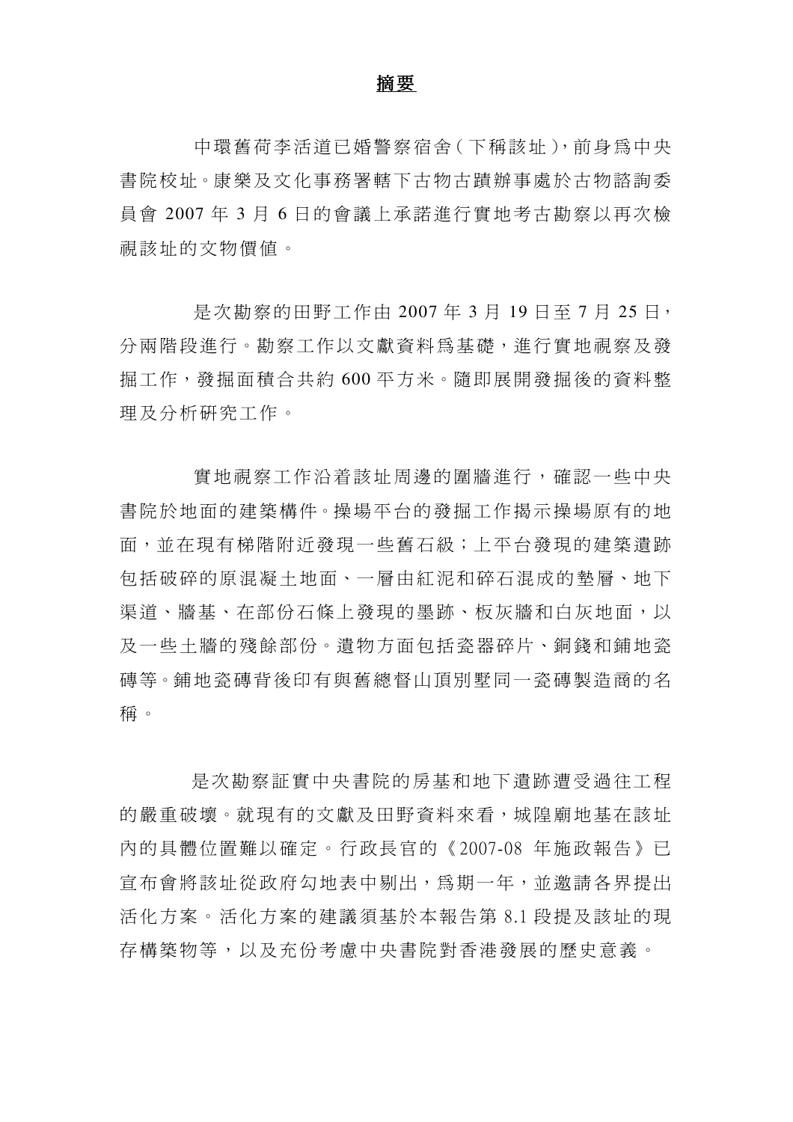#### 摘要

中環舊荷李活道已婚警察宿舍(下稱該址),前身為中央 書院校址。康樂及文化事務署轄下古物古蹟辦事處於古物諮詢委 員會 2007年3月6日的會議上承諾進行實地考古勘察以再次檢 視該址的文物價值。

是次勘察的田野工作由 2007年3月19日至7月25日, 分 兩 階 段 淮 行 。 勘 察 工 作 以 文 獻 資 料 為 基 礎 , 淮 行 實 地 視 察 及 發 掘工作,發掘面積合共約 600 平方米。隨即展開發掘後的資料整 理 及 分 析 研 究 工 作 。

實 地 視 察 工 作 沿 着 該 址 周 邊 的 圍 牆 淮 行 , 確 認 一 些 中 央 書院於地面的建築構件。操場平台的發掘工作揭示操場原有的地 面,並 在 現 有 梯 階 附 近 發 現一 些 舊 石 級;上 平 台 發 現 的 建 築 遺 跡 包 括 破 碎 的 原 混 凝 土 地 面、一 層 由 紅 泥 和 碎 石 混 成 的 墊 層、地 下 渠道、牆基、在部份石條上發現的墨跡、板灰牆和白灰地面,以 及一些十牆的殘餘部份。潰物方面包括瓷器碎片、銅錢和舖地瓷 磚等。舖地 瓷 磚 背 後 印 有 與 舊 總 督 山 頂 別 墅 同 一 瓷 磚 製 浩 商 的 名 稱 。

是 次 勘 察 証 實 中 央 書 院 的 房 基 和 地 下 遺 跡 遭 受 過 往 工 程 的嚴重破壞。就現有的文獻及田野資料來看,城隍廟地基在該址 內 的 具 體 位 置 難 以 確 定 。 行 政 長 官 的 《2007-08 年 施 政 報 告 》 已 宣 布 會 將 該 址 從 政 府 勾 地 表 中 剔 出 , 爲 期 一 年 , 並 激 請 各 界 提 出 活化方案。活化方案的建議須基於本報告第8.1 段提及該址的現 存構築物等,以及充份考慮中央書院對香港發展的歷史意義。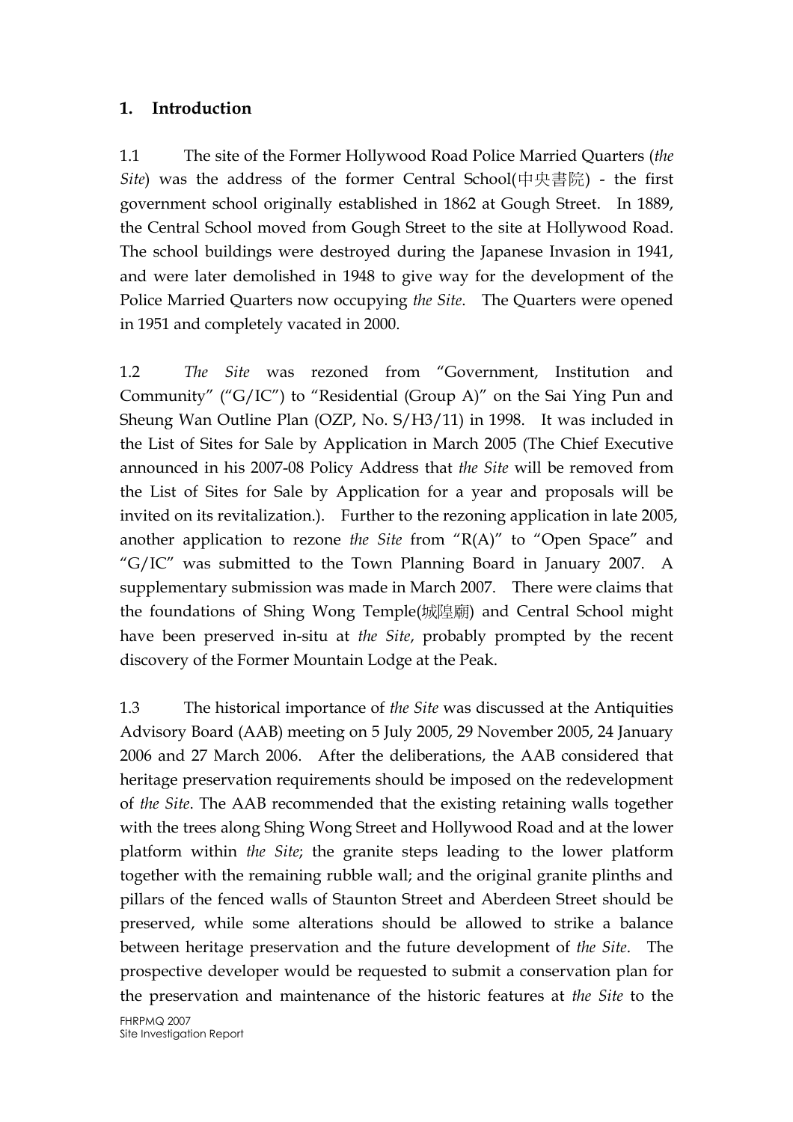## 1. Introduction

1.1 The site of the Former Hollywood Road Police Married Quarters (the Site) was the address of the former Central School(中央書院) - the first government school originally established in 1862 at Gough Street. In 1889, the Central School moved from Gough Street to the site at Hollywood Road. The school buildings were destroyed during the Japanese Invasion in 1941, and were later demolished in 1948 to give way for the development of the Police Married Quarters now occupying the Site. The Quarters were opened in 1951 and completely vacated in 2000.

1.2 The Site was rezoned from "Government, Institution and Community" ("G/IC") to "Residential (Group A)" on the Sai Ying Pun and Sheung Wan Outline Plan (OZP, No. S/H3/11) in 1998. It was included in the List of Sites for Sale by Application in March 2005 (The Chief Executive announced in his 2007-08 Policy Address that the Site will be removed from the List of Sites for Sale by Application for a year and proposals will be invited on its revitalization.). Further to the rezoning application in late 2005, another application to rezone the Site from " $R(A)$ " to "Open Space" and "G/IC" was submitted to the Town Planning Board in January 2007. A supplementary submission was made in March 2007. There were claims that the foundations of Shing Wong Temple(城隍廟) and Central School might have been preserved in-situ at the Site, probably prompted by the recent discovery of the Former Mountain Lodge at the Peak.

1.3 The historical importance of the Site was discussed at the Antiquities Advisory Board (AAB) meeting on 5 July 2005, 29 November 2005, 24 January 2006 and 27 March 2006. After the deliberations, the AAB considered that heritage preservation requirements should be imposed on the redevelopment of the Site. The AAB recommended that the existing retaining walls together with the trees along Shing Wong Street and Hollywood Road and at the lower platform within the Site; the granite steps leading to the lower platform together with the remaining rubble wall; and the original granite plinths and pillars of the fenced walls of Staunton Street and Aberdeen Street should be preserved, while some alterations should be allowed to strike a balance between heritage preservation and the future development of the Site. The prospective developer would be requested to submit a conservation plan for the preservation and maintenance of the historic features at the Site to the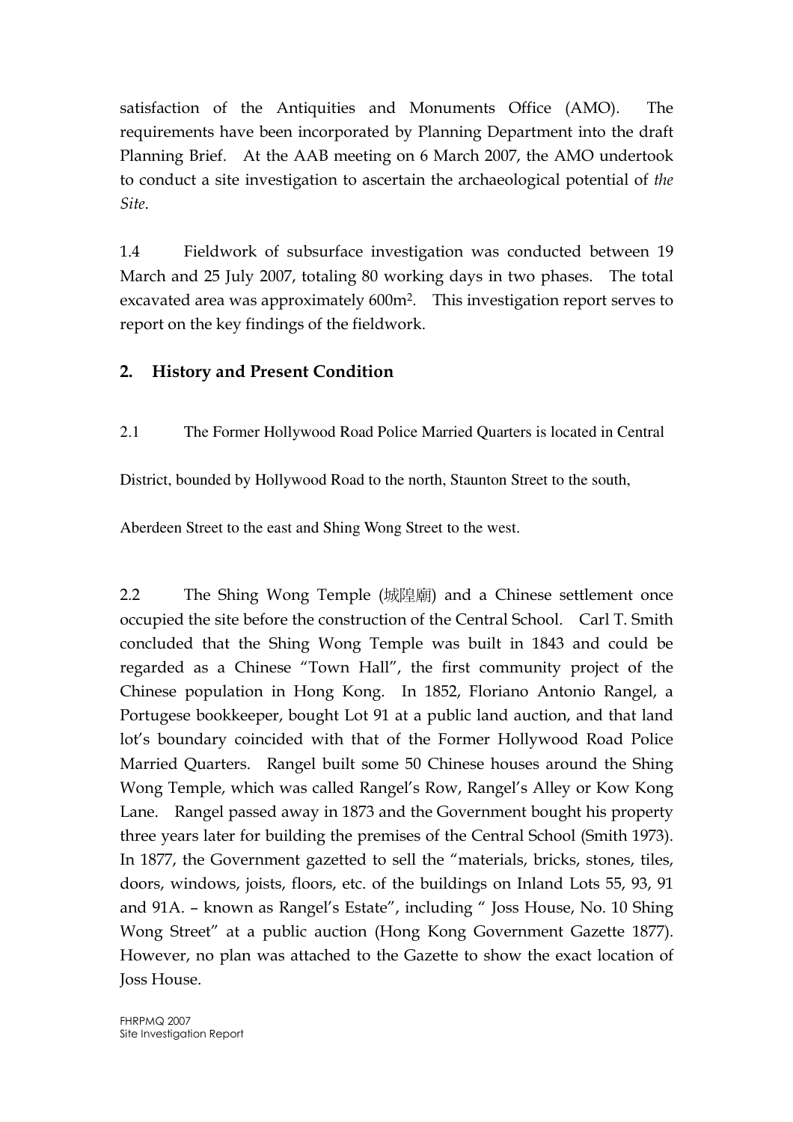satisfaction of the Antiquities and Monuments Office (AMO). The requirements have been incorporated by Planning Department into the draft Planning Brief. At the AAB meeting on 6 March 2007, the AMO undertook to conduct a site investigation to ascertain the archaeological potential of the Site.

1.4 Fieldwork of subsurface investigation was conducted between 19 March and 25 July 2007, totaling 80 working days in two phases. The total excavated area was approximately 600m<sup>2</sup>. This investigation report serves to report on the key findings of the fieldwork.

# 2. History and Present Condition

2.1 The Former Hollywood Road Police Married Quarters is located in Central

District, bounded by Hollywood Road to the north, Staunton Street to the south,

Aberdeen Street to the east and Shing Wong Street to the west.

2.2 The Shing Wong Temple (城隍廟) and a Chinese settlement once occupied the site before the construction of the Central School. Carl T. Smith concluded that the Shing Wong Temple was built in 1843 and could be regarded as a Chinese "Town Hall", the first community project of the Chinese population in Hong Kong. In 1852, Floriano Antonio Rangel, a Portugese bookkeeper, bought Lot 91 at a public land auction, and that land lot's boundary coincided with that of the Former Hollywood Road Police Married Quarters. Rangel built some 50 Chinese houses around the Shing Wong Temple, which was called Rangel's Row, Rangel's Alley or Kow Kong Lane. Rangel passed away in 1873 and the Government bought his property three years later for building the premises of the Central School (Smith 1973). In 1877, the Government gazetted to sell the "materials, bricks, stones, tiles, doors, windows, joists, floors, etc. of the buildings on Inland Lots 55, 93, 91 and 91A. – known as Rangel's Estate", including " Joss House, No. 10 Shing Wong Street" at a public auction (Hong Kong Government Gazette 1877). However, no plan was attached to the Gazette to show the exact location of Joss House.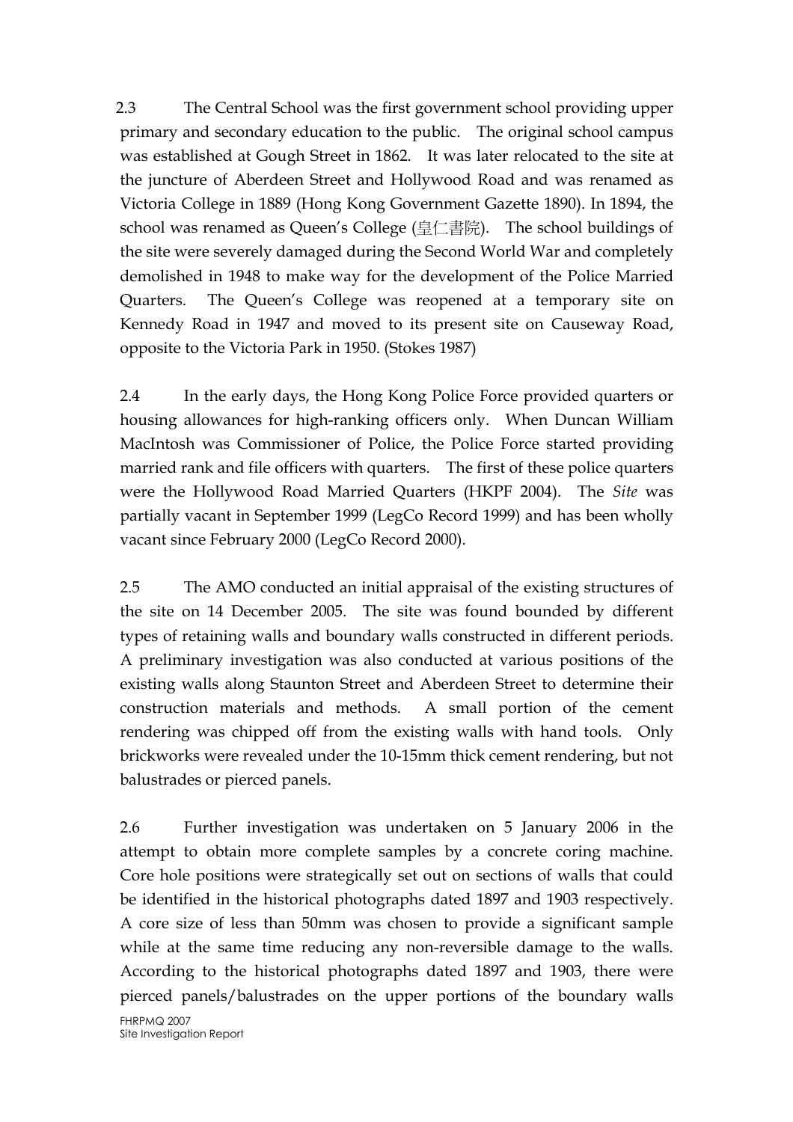2.3 The Central School was the first government school providing upper primary and secondary education to the public. The original school campus was established at Gough Street in 1862. It was later relocated to the site at the juncture of Aberdeen Street and Hollywood Road and was renamed as Victoria College in 1889 (Hong Kong Government Gazette 1890). In 1894, the school was renamed as Queen's College (皇仁書院). The school buildings of the site were severely damaged during the Second World War and completely demolished in 1948 to make way for the development of the Police Married Quarters. The Queen's College was reopened at a temporary site on Kennedy Road in 1947 and moved to its present site on Causeway Road, opposite to the Victoria Park in 1950. (Stokes 1987)

2.4 In the early days, the Hong Kong Police Force provided quarters or housing allowances for high-ranking officers only. When Duncan William MacIntosh was Commissioner of Police, the Police Force started providing married rank and file officers with quarters. The first of these police quarters were the Hollywood Road Married Quarters (HKPF 2004). The Site was partially vacant in September 1999 (LegCo Record 1999) and has been wholly vacant since February 2000 (LegCo Record 2000).

2.5 The AMO conducted an initial appraisal of the existing structures of the site on 14 December 2005. The site was found bounded by different types of retaining walls and boundary walls constructed in different periods. A preliminary investigation was also conducted at various positions of the existing walls along Staunton Street and Aberdeen Street to determine their construction materials and methods. A small portion of the cement rendering was chipped off from the existing walls with hand tools. Only brickworks were revealed under the 10-15mm thick cement rendering, but not balustrades or pierced panels.

2.6 Further investigation was undertaken on 5 January 2006 in the attempt to obtain more complete samples by a concrete coring machine. Core hole positions were strategically set out on sections of walls that could be identified in the historical photographs dated 1897 and 1903 respectively. A core size of less than 50mm was chosen to provide a significant sample while at the same time reducing any non-reversible damage to the walls. According to the historical photographs dated 1897 and 1903, there were pierced panels/balustrades on the upper portions of the boundary walls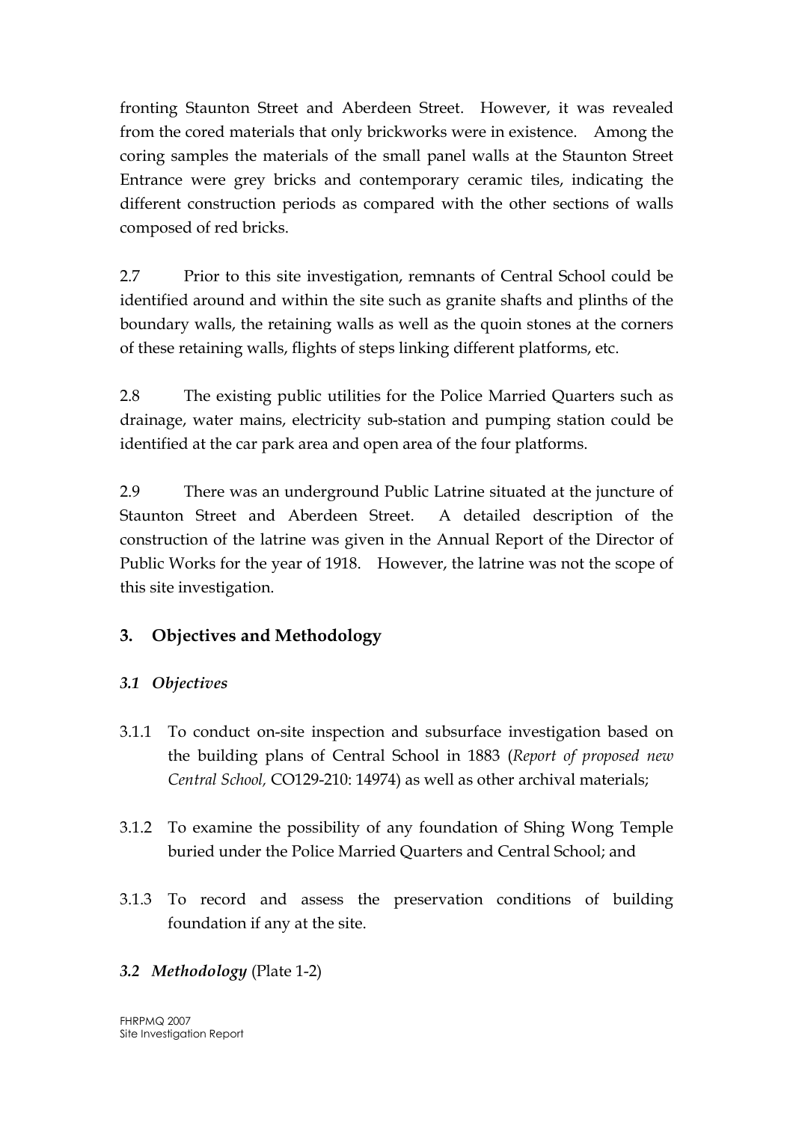fronting Staunton Street and Aberdeen Street. However, it was revealed from the cored materials that only brickworks were in existence. Among the coring samples the materials of the small panel walls at the Staunton Street Entrance were grey bricks and contemporary ceramic tiles, indicating the different construction periods as compared with the other sections of walls composed of red bricks.

2.7 Prior to this site investigation, remnants of Central School could be identified around and within the site such as granite shafts and plinths of the boundary walls, the retaining walls as well as the quoin stones at the corners of these retaining walls, flights of steps linking different platforms, etc.

2.8 The existing public utilities for the Police Married Quarters such as drainage, water mains, electricity sub-station and pumping station could be identified at the car park area and open area of the four platforms.

2.9 There was an underground Public Latrine situated at the juncture of Staunton Street and Aberdeen Street. A detailed description of the construction of the latrine was given in the Annual Report of the Director of Public Works for the year of 1918. However, the latrine was not the scope of this site investigation.

# 3. Objectives and Methodology

# 3.1 Objectives

- 3.1.1 To conduct on-site inspection and subsurface investigation based on the building plans of Central School in 1883 (Report of proposed new Central School, CO129-210: 14974) as well as other archival materials;
- 3.1.2 To examine the possibility of any foundation of Shing Wong Temple buried under the Police Married Quarters and Central School; and
- 3.1.3 To record and assess the preservation conditions of building foundation if any at the site.

# 3.2 Methodology (Plate 1-2)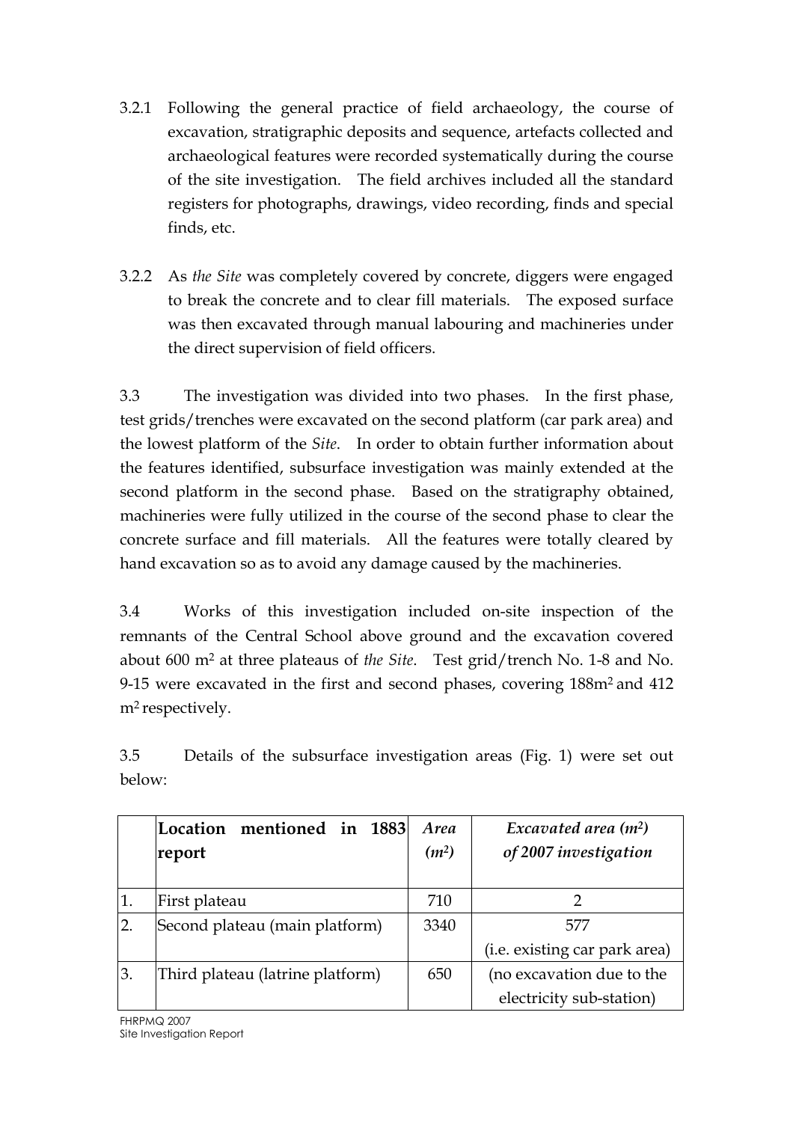- 3.2.1 Following the general practice of field archaeology, the course of excavation, stratigraphic deposits and sequence, artefacts collected and archaeological features were recorded systematically during the course of the site investigation. The field archives included all the standard registers for photographs, drawings, video recording, finds and special finds, etc.
- 3.2.2 As the Site was completely covered by concrete, diggers were engaged to break the concrete and to clear fill materials. The exposed surface was then excavated through manual labouring and machineries under the direct supervision of field officers.

3.3 The investigation was divided into two phases. In the first phase, test grids/trenches were excavated on the second platform (car park area) and the lowest platform of the Site. In order to obtain further information about the features identified, subsurface investigation was mainly extended at the second platform in the second phase. Based on the stratigraphy obtained, machineries were fully utilized in the course of the second phase to clear the concrete surface and fill materials. All the features were totally cleared by hand excavation so as to avoid any damage caused by the machineries.

3.4 Works of this investigation included on-site inspection of the remnants of the Central School above ground and the excavation covered about 600 m<sup>2</sup> at three plateaus of the Site. Test grid/trench No. 1-8 and No. 9-15 were excavated in the first and second phases, covering 188m<sup>2</sup> and 412 m<sup>2</sup> respectively.

3.5 Details of the subsurface investigation areas (Fig. 1) were set out below:

|               | mentioned in 1883<br> Location <br>report | <i>Area</i><br>(m <sup>2</sup> ) | Excavated area $(m^2)$<br>of 2007 investigation |
|---------------|-------------------------------------------|----------------------------------|-------------------------------------------------|
| 1.            | First plateau                             | 710                              |                                                 |
| <sup>2.</sup> | Second plateau (main platform)            | 3340                             | 577                                             |
|               |                                           |                                  | (i.e. existing car park area)                   |
| 3.            | Third plateau (latrine platform)          | 650                              | (no excavation due to the                       |
|               |                                           |                                  | electricity sub-station)                        |

FHRPMQ 2007 Site Investigation Report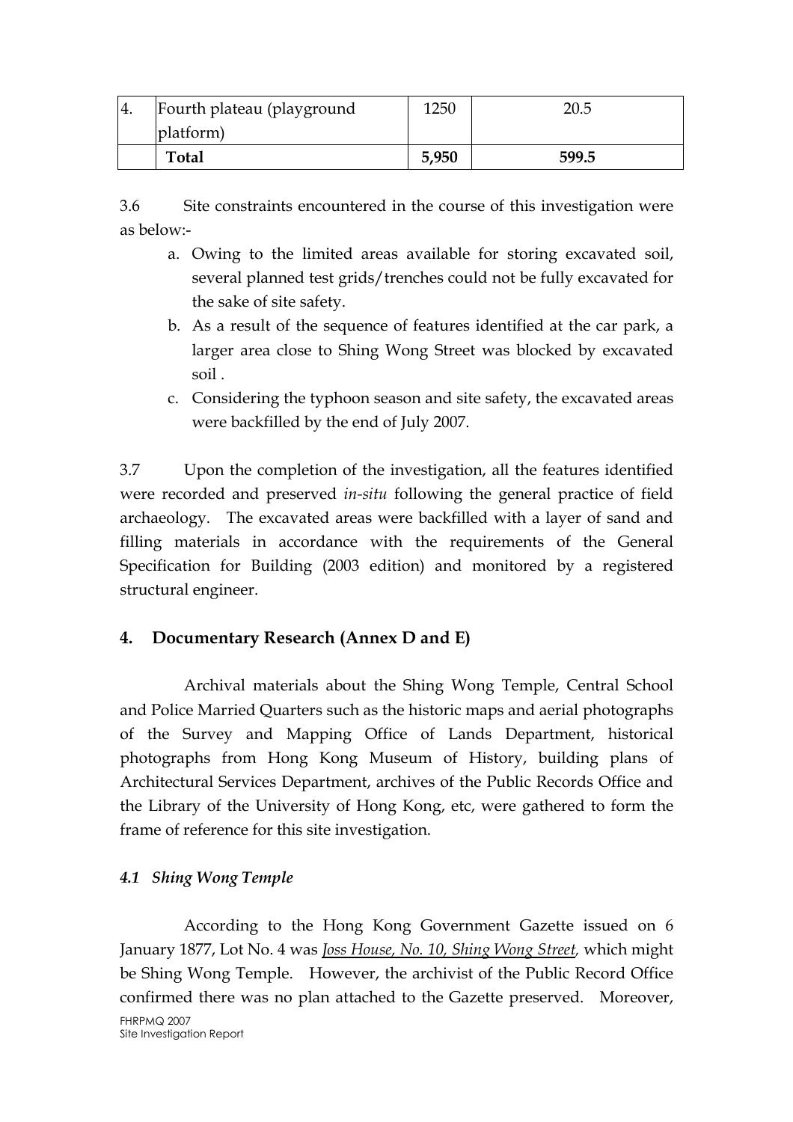| $-4.$ | Fourth plateau (playground | 1250  | 20.5  |
|-------|----------------------------|-------|-------|
|       | platform)                  |       |       |
|       | <b>Total</b>               | 5,950 | 599.5 |

3.6 Site constraints encountered in the course of this investigation were as below:-

- a. Owing to the limited areas available for storing excavated soil, several planned test grids/trenches could not be fully excavated for the sake of site safety.
- b. As a result of the sequence of features identified at the car park, a larger area close to Shing Wong Street was blocked by excavated soil .
- c. Considering the typhoon season and site safety, the excavated areas were backfilled by the end of July 2007.

3.7 Upon the completion of the investigation, all the features identified were recorded and preserved in-situ following the general practice of field archaeology. The excavated areas were backfilled with a layer of sand and filling materials in accordance with the requirements of the General Specification for Building (2003 edition) and monitored by a registered structural engineer.

# 4. Documentary Research (Annex D and E)

Archival materials about the Shing Wong Temple, Central School and Police Married Quarters such as the historic maps and aerial photographs of the Survey and Mapping Office of Lands Department, historical photographs from Hong Kong Museum of History, building plans of Architectural Services Department, archives of the Public Records Office and the Library of the University of Hong Kong, etc, were gathered to form the frame of reference for this site investigation.

## 4.1 Shing Wong Temple

FHRPMQ 2007 Site Investigation Report According to the Hong Kong Government Gazette issued on 6 January 1877, Lot No. 4 was *Joss House, No. 10, Shing Wong Street,* which might be Shing Wong Temple. However, the archivist of the Public Record Office confirmed there was no plan attached to the Gazette preserved. Moreover,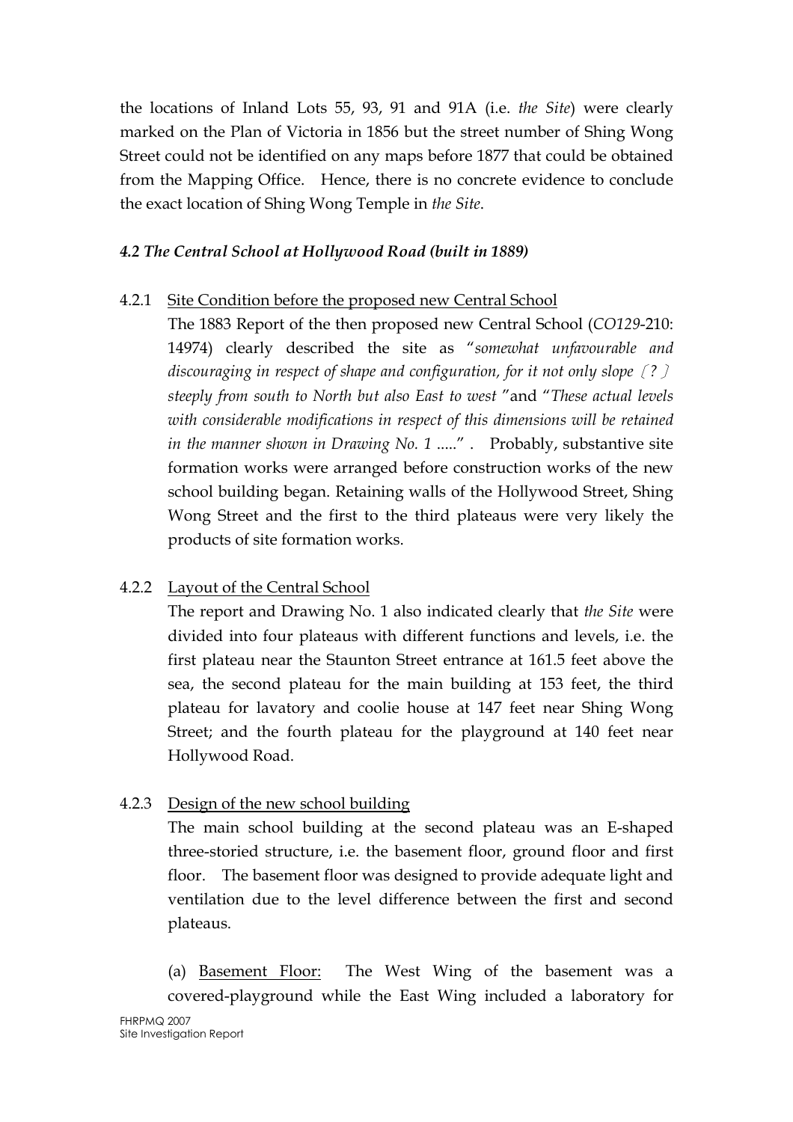the locations of Inland Lots 55, 93, 91 and 91A (i.e. the Site) were clearly marked on the Plan of Victoria in 1856 but the street number of Shing Wong Street could not be identified on any maps before 1877 that could be obtained from the Mapping Office. Hence, there is no concrete evidence to conclude the exact location of Shing Wong Temple in the Site.

## 4.2 The Central School at Hollywood Road (built in 1889)

## 4.2.1 Site Condition before the proposed new Central School

The 1883 Report of the then proposed new Central School (CO129-210: 14974) clearly described the site as "somewhat unfavourable and discouraging in respect of shape and configuration, for it not only slope  $(?)$ steeply from south to North but also East to west "and "These actual levels with considerable modifications in respect of this dimensions will be retained in the manner shown in Drawing No. 1 .....". Probably, substantive site formation works were arranged before construction works of the new school building began. Retaining walls of the Hollywood Street, Shing Wong Street and the first to the third plateaus were very likely the products of site formation works.

# 4.2.2 Layout of the Central School

The report and Drawing No. 1 also indicated clearly that the Site were divided into four plateaus with different functions and levels, i.e. the first plateau near the Staunton Street entrance at 161.5 feet above the sea, the second plateau for the main building at 153 feet, the third plateau for lavatory and coolie house at 147 feet near Shing Wong Street; and the fourth plateau for the playground at 140 feet near Hollywood Road.

## 4.2.3 Design of the new school building

The main school building at the second plateau was an E-shaped three-storied structure, i.e. the basement floor, ground floor and first floor. The basement floor was designed to provide adequate light and ventilation due to the level difference between the first and second plateaus.

(a) Basement Floor: The West Wing of the basement was a covered-playground while the East Wing included a laboratory for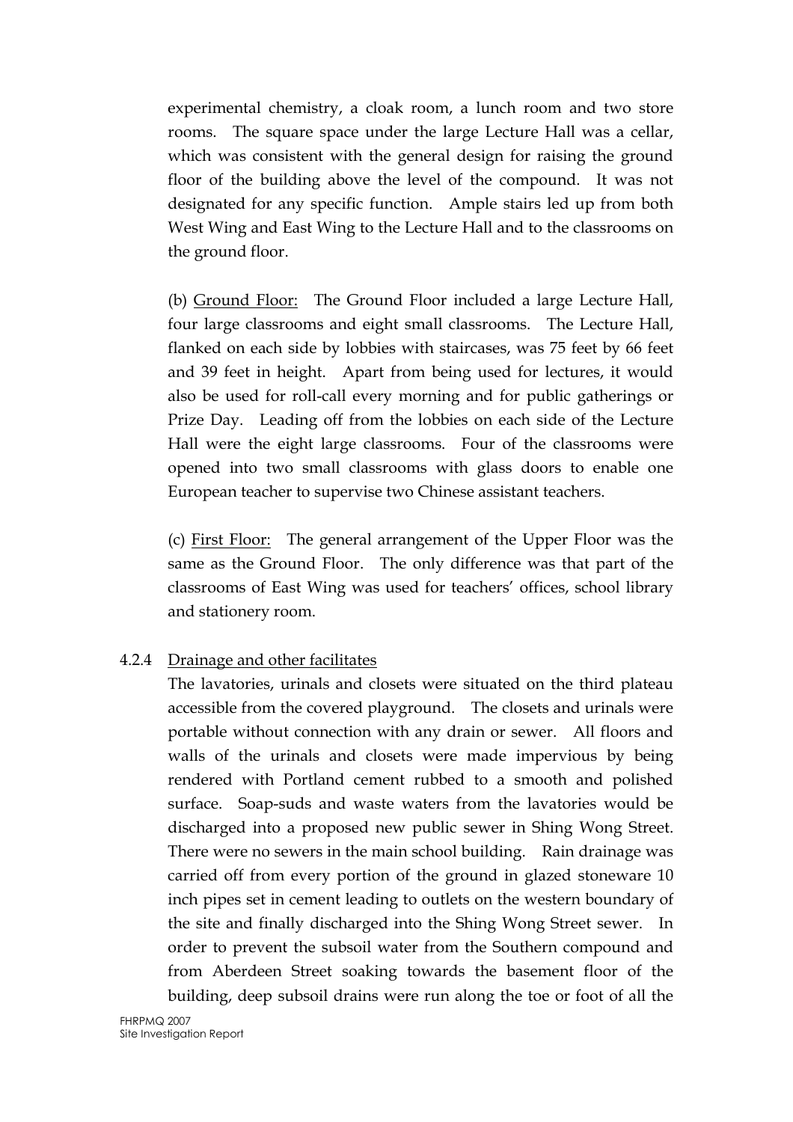experimental chemistry, a cloak room, a lunch room and two store rooms. The square space under the large Lecture Hall was a cellar, which was consistent with the general design for raising the ground floor of the building above the level of the compound. It was not designated for any specific function. Ample stairs led up from both West Wing and East Wing to the Lecture Hall and to the classrooms on the ground floor.

(b) Ground Floor: The Ground Floor included a large Lecture Hall, four large classrooms and eight small classrooms. The Lecture Hall, flanked on each side by lobbies with staircases, was 75 feet by 66 feet and 39 feet in height. Apart from being used for lectures, it would also be used for roll-call every morning and for public gatherings or Prize Day. Leading off from the lobbies on each side of the Lecture Hall were the eight large classrooms. Four of the classrooms were opened into two small classrooms with glass doors to enable one European teacher to supervise two Chinese assistant teachers.

(c) First Floor: The general arrangement of the Upper Floor was the same as the Ground Floor. The only difference was that part of the classrooms of East Wing was used for teachers' offices, school library and stationery room.

## 4.2.4 Drainage and other facilitates

The lavatories, urinals and closets were situated on the third plateau accessible from the covered playground. The closets and urinals were portable without connection with any drain or sewer. All floors and walls of the urinals and closets were made impervious by being rendered with Portland cement rubbed to a smooth and polished surface. Soap-suds and waste waters from the lavatories would be discharged into a proposed new public sewer in Shing Wong Street. There were no sewers in the main school building. Rain drainage was carried off from every portion of the ground in glazed stoneware 10 inch pipes set in cement leading to outlets on the western boundary of the site and finally discharged into the Shing Wong Street sewer. In order to prevent the subsoil water from the Southern compound and from Aberdeen Street soaking towards the basement floor of the building, deep subsoil drains were run along the toe or foot of all the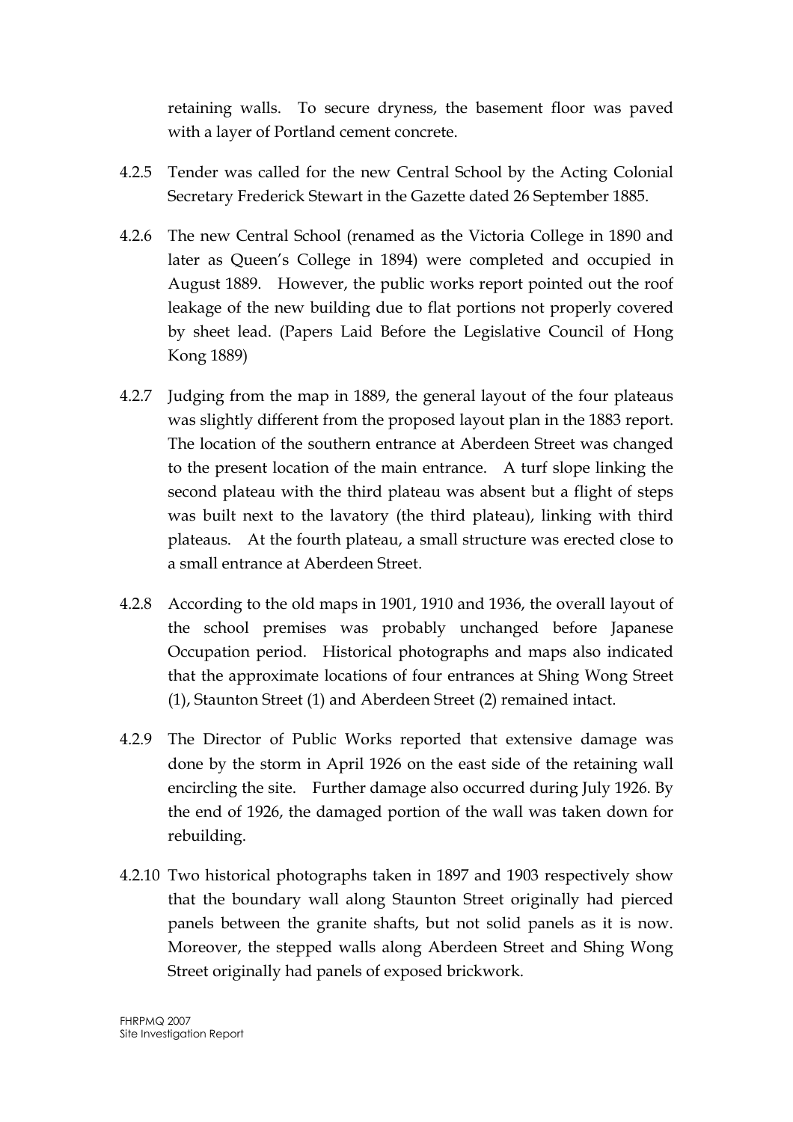retaining walls. To secure dryness, the basement floor was paved with a layer of Portland cement concrete.

- 4.2.5 Tender was called for the new Central School by the Acting Colonial Secretary Frederick Stewart in the Gazette dated 26 September 1885.
- 4.2.6 The new Central School (renamed as the Victoria College in 1890 and later as Queen's College in 1894) were completed and occupied in August 1889. However, the public works report pointed out the roof leakage of the new building due to flat portions not properly covered by sheet lead. (Papers Laid Before the Legislative Council of Hong Kong 1889)
- 4.2.7 Judging from the map in 1889, the general layout of the four plateaus was slightly different from the proposed layout plan in the 1883 report. The location of the southern entrance at Aberdeen Street was changed to the present location of the main entrance. A turf slope linking the second plateau with the third plateau was absent but a flight of steps was built next to the lavatory (the third plateau), linking with third plateaus. At the fourth plateau, a small structure was erected close to a small entrance at Aberdeen Street.
- 4.2.8 According to the old maps in 1901, 1910 and 1936, the overall layout of the school premises was probably unchanged before Japanese Occupation period. Historical photographs and maps also indicated that the approximate locations of four entrances at Shing Wong Street (1), Staunton Street (1) and Aberdeen Street (2) remained intact.
- 4.2.9 The Director of Public Works reported that extensive damage was done by the storm in April 1926 on the east side of the retaining wall encircling the site. Further damage also occurred during July 1926. By the end of 1926, the damaged portion of the wall was taken down for rebuilding.
- 4.2.10 Two historical photographs taken in 1897 and 1903 respectively show that the boundary wall along Staunton Street originally had pierced panels between the granite shafts, but not solid panels as it is now. Moreover, the stepped walls along Aberdeen Street and Shing Wong Street originally had panels of exposed brickwork.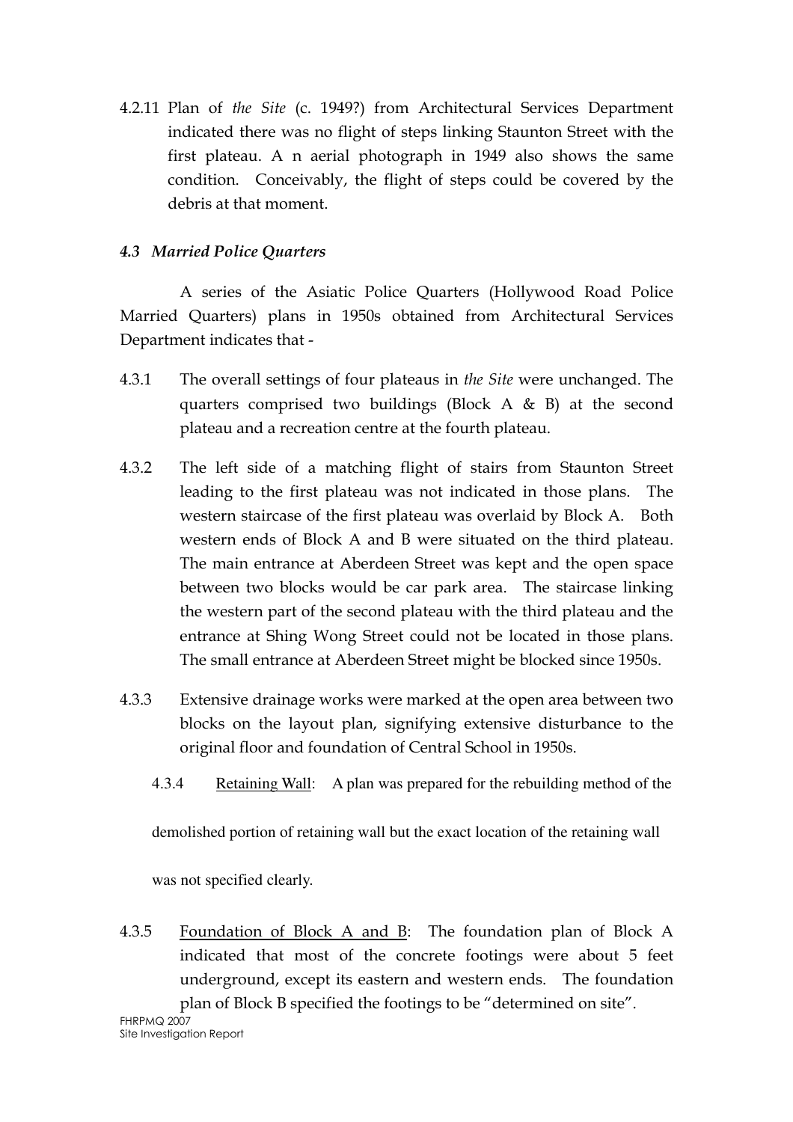4.2.11 Plan of the Site (c. 1949?) from Architectural Services Department indicated there was no flight of steps linking Staunton Street with the first plateau. A n aerial photograph in 1949 also shows the same condition. Conceivably, the flight of steps could be covered by the debris at that moment.

## 4.3 Married Police Quarters

A series of the Asiatic Police Quarters (Hollywood Road Police Married Quarters) plans in 1950s obtained from Architectural Services Department indicates that -

- 4.3.1 The overall settings of four plateaus in the Site were unchanged. The quarters comprised two buildings (Block  $A \& B$ ) at the second plateau and a recreation centre at the fourth plateau.
- 4.3.2 The left side of a matching flight of stairs from Staunton Street leading to the first plateau was not indicated in those plans. The western staircase of the first plateau was overlaid by Block A. Both western ends of Block A and B were situated on the third plateau. The main entrance at Aberdeen Street was kept and the open space between two blocks would be car park area. The staircase linking the western part of the second plateau with the third plateau and the entrance at Shing Wong Street could not be located in those plans. The small entrance at Aberdeen Street might be blocked since 1950s.
- 4.3.3 Extensive drainage works were marked at the open area between two blocks on the layout plan, signifying extensive disturbance to the original floor and foundation of Central School in 1950s.
	- 4.3.4 Retaining Wall: A plan was prepared for the rebuilding method of the

demolished portion of retaining wall but the exact location of the retaining wall

was not specified clearly.

FHRPMQ 2007 4.3.5 Foundation of Block A and B: The foundation plan of Block A indicated that most of the concrete footings were about 5 feet underground, except its eastern and western ends. The foundation plan of Block B specified the footings to be "determined on site".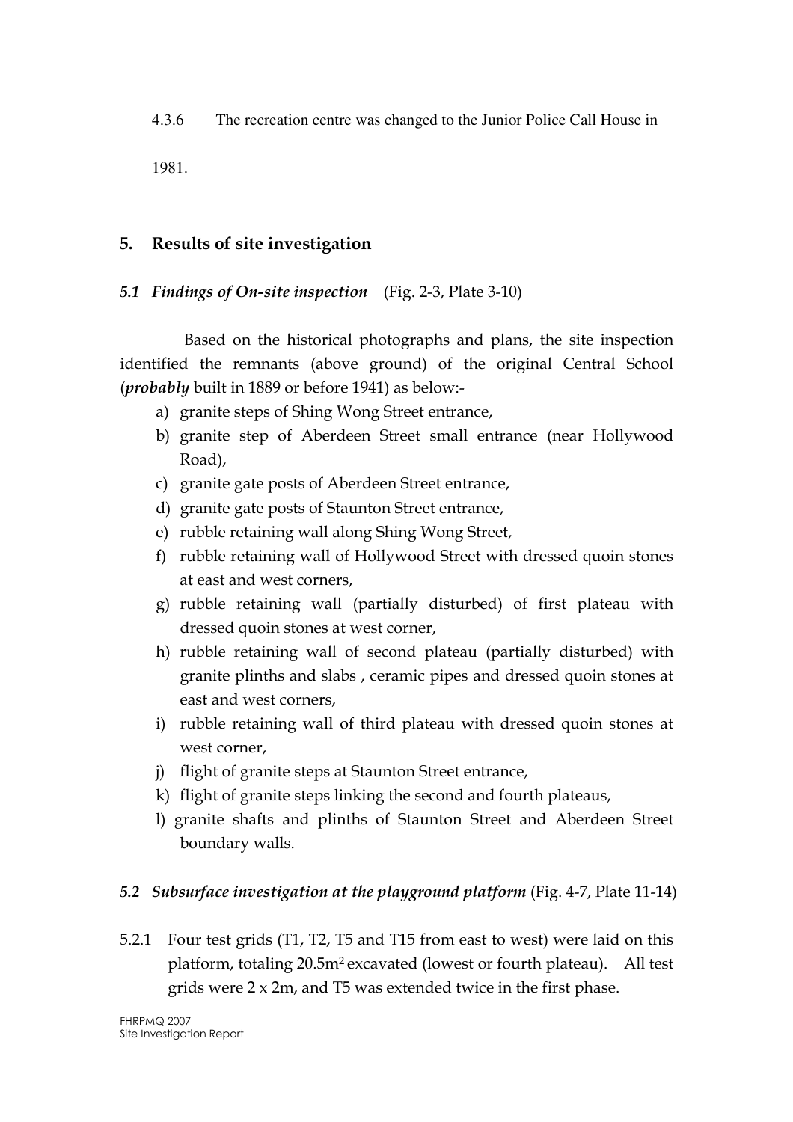4.3.6 The recreation centre was changed to the Junior Police Call House in

1981.

## 5. Results of site investigation

## 5.1 Findings of On-site inspection (Fig. 2-3, Plate 3-10)

 Based on the historical photographs and plans, the site inspection identified the remnants (above ground) of the original Central School (probably built in 1889 or before 1941) as below:-

- a) granite steps of Shing Wong Street entrance,
- b) granite step of Aberdeen Street small entrance (near Hollywood Road),
- c) granite gate posts of Aberdeen Street entrance,
- d) granite gate posts of Staunton Street entrance,
- e) rubble retaining wall along Shing Wong Street,
- f) rubble retaining wall of Hollywood Street with dressed quoin stones at east and west corners,
- g) rubble retaining wall (partially disturbed) of first plateau with dressed quoin stones at west corner,
- h) rubble retaining wall of second plateau (partially disturbed) with granite plinths and slabs , ceramic pipes and dressed quoin stones at east and west corners,
- i) rubble retaining wall of third plateau with dressed quoin stones at west corner,
- j) flight of granite steps at Staunton Street entrance,
- k) flight of granite steps linking the second and fourth plateaus,
- l) granite shafts and plinths of Staunton Street and Aberdeen Street boundary walls.

# 5.2 Subsurface investigation at the playground platform (Fig. 4-7, Plate 11-14)

5.2.1 Four test grids (T1, T2, T5 and T15 from east to west) were laid on this platform, totaling 20.5m<sup>2</sup> excavated (lowest or fourth plateau). All test grids were 2 x 2m, and T5 was extended twice in the first phase.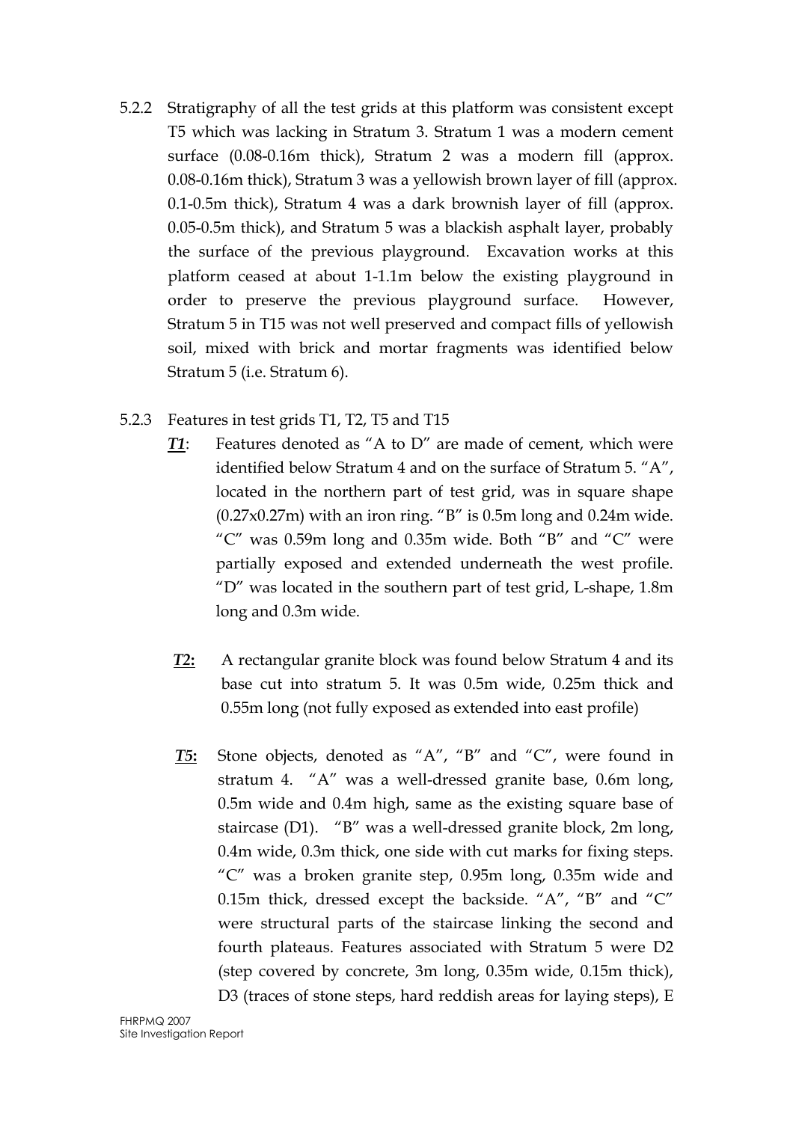- 5.2.2 Stratigraphy of all the test grids at this platform was consistent except T5 which was lacking in Stratum 3. Stratum 1 was a modern cement surface (0.08-0.16m thick), Stratum 2 was a modern fill (approx. 0.08-0.16m thick), Stratum 3 was a yellowish brown layer of fill (approx. 0.1-0.5m thick), Stratum 4 was a dark brownish layer of fill (approx. 0.05-0.5m thick), and Stratum 5 was a blackish asphalt layer, probably the surface of the previous playground. Excavation works at this platform ceased at about 1-1.1m below the existing playground in order to preserve the previous playground surface. However, Stratum 5 in T15 was not well preserved and compact fills of yellowish soil, mixed with brick and mortar fragments was identified below Stratum 5 (i.e. Stratum 6).
- 5.2.3 Features in test grids T1, T2, T5 and T15
	- T1: Features denoted as "A to D" are made of cement, which were identified below Stratum 4 and on the surface of Stratum 5. "A", located in the northern part of test grid, was in square shape  $(0.27x0.27m)$  with an iron ring. "B" is 0.5m long and 0.24m wide. " $C''$  was 0.59m long and 0.35m wide. Both "B" and " $C''$  were partially exposed and extended underneath the west profile. "D" was located in the southern part of test grid, L-shape, 1.8m long and 0.3m wide.
	- T2: A rectangular granite block was found below Stratum 4 and its base cut into stratum 5. It was 0.5m wide, 0.25m thick and 0.55m long (not fully exposed as extended into east profile)
	- T5: Stone objects, denoted as "A", "B" and "C", were found in stratum 4. "A" was a well-dressed granite base, 0.6m long, 0.5m wide and 0.4m high, same as the existing square base of staircase (D1). "B" was a well-dressed granite block, 2m long, 0.4m wide, 0.3m thick, one side with cut marks for fixing steps. "C" was a broken granite step, 0.95m long, 0.35m wide and 0.15m thick, dressed except the backside. "A", "B" and "C" were structural parts of the staircase linking the second and fourth plateaus. Features associated with Stratum 5 were D2 (step covered by concrete, 3m long, 0.35m wide, 0.15m thick), D3 (traces of stone steps, hard reddish areas for laying steps), E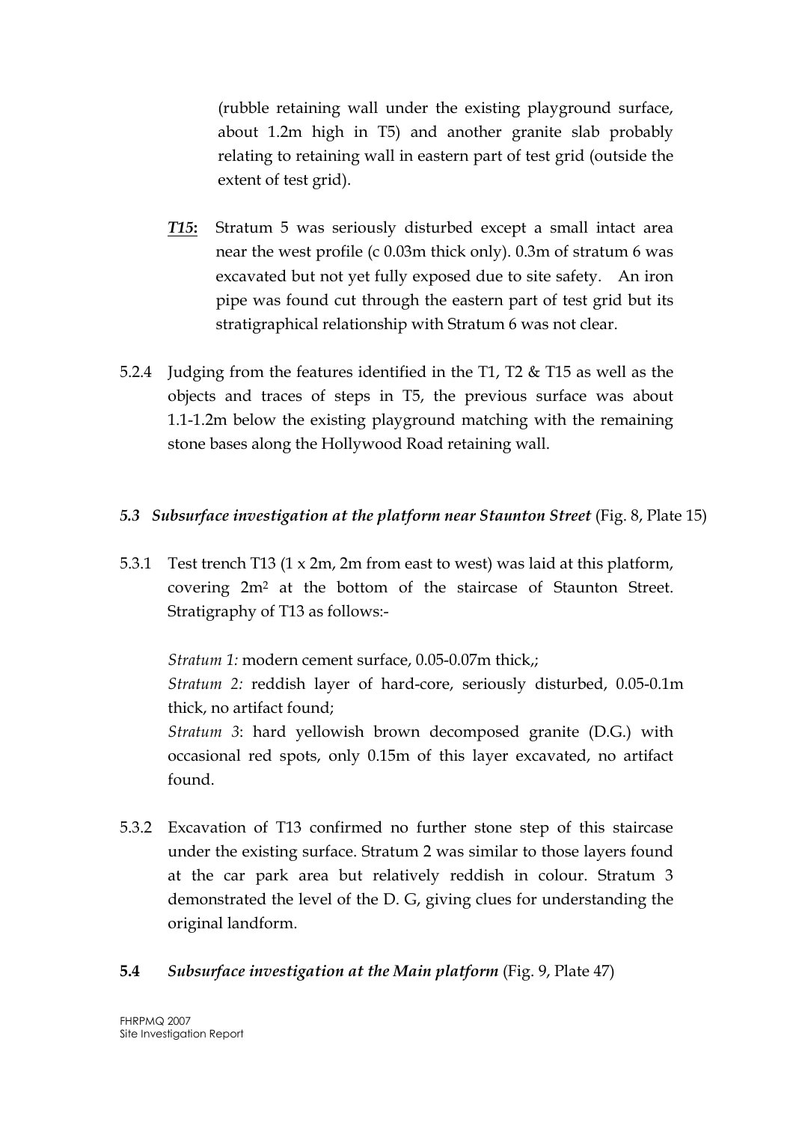(rubble retaining wall under the existing playground surface, about 1.2m high in T5) and another granite slab probably relating to retaining wall in eastern part of test grid (outside the extent of test grid).

- T15: Stratum 5 was seriously disturbed except a small intact area near the west profile (c 0.03m thick only). 0.3m of stratum 6 was excavated but not yet fully exposed due to site safety. An iron pipe was found cut through the eastern part of test grid but its stratigraphical relationship with Stratum 6 was not clear.
- 5.2.4 Judging from the features identified in the T1, T2 & T15 as well as the objects and traces of steps in T5, the previous surface was about 1.1-1.2m below the existing playground matching with the remaining stone bases along the Hollywood Road retaining wall.

#### 5.3 Subsurface investigation at the platform near Staunton Street (Fig. 8, Plate 15)

5.3.1 Test trench T13 (1 x 2m, 2m from east to west) was laid at this platform, covering 2m<sup>2</sup> at the bottom of the staircase of Staunton Street. Stratigraphy of T13 as follows:-

Stratum 1: modern cement surface, 0.05-0.07m thick,; Stratum 2: reddish layer of hard-core, seriously disturbed, 0.05-0.1m thick, no artifact found; Stratum 3: hard yellowish brown decomposed granite (D.G.) with occasional red spots, only 0.15m of this layer excavated, no artifact found.

5.3.2 Excavation of T13 confirmed no further stone step of this staircase under the existing surface. Stratum 2 was similar to those layers found at the car park area but relatively reddish in colour. Stratum 3 demonstrated the level of the D. G, giving clues for understanding the original landform.

## 5.4 Subsurface investigation at the Main platform (Fig. 9, Plate 47)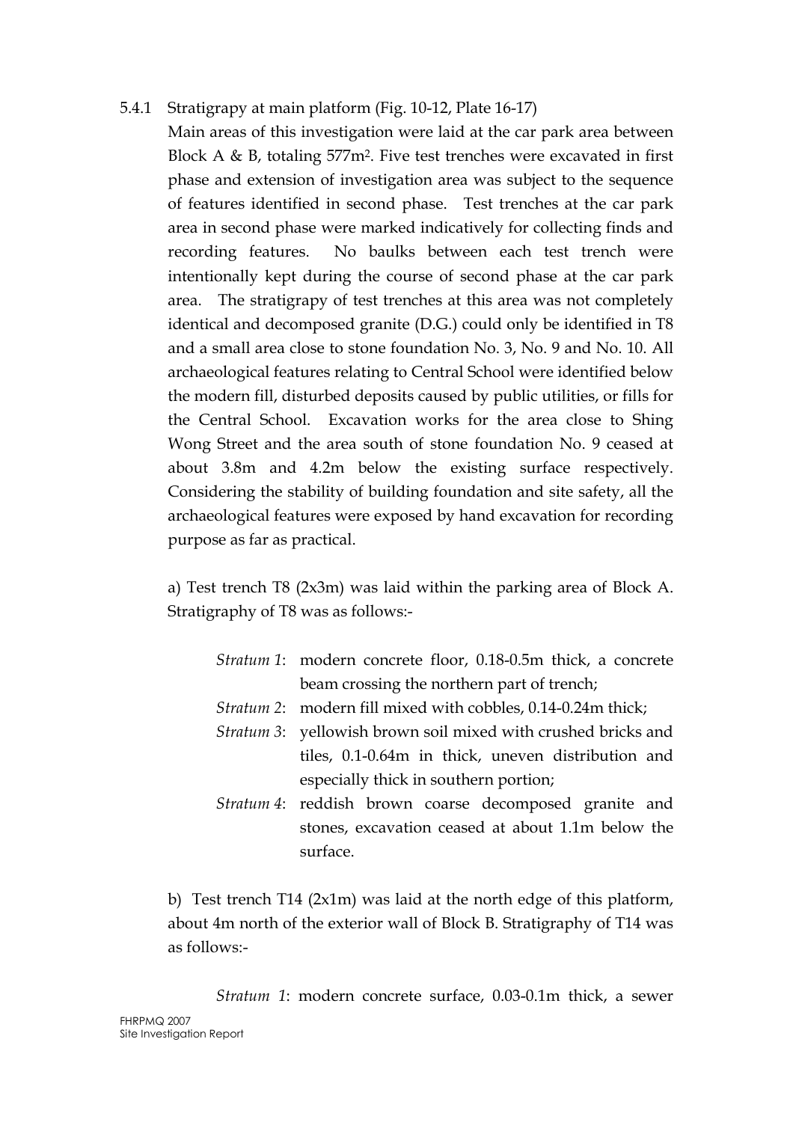## 5.4.1 Stratigrapy at main platform (Fig. 10-12, Plate 16-17)

Main areas of this investigation were laid at the car park area between Block A & B, totaling 577m<sup>2</sup>. Five test trenches were excavated in first phase and extension of investigation area was subject to the sequence of features identified in second phase. Test trenches at the car park area in second phase were marked indicatively for collecting finds and recording features. No baulks between each test trench were intentionally kept during the course of second phase at the car park area. The stratigrapy of test trenches at this area was not completely identical and decomposed granite (D.G.) could only be identified in T8 and a small area close to stone foundation No. 3, No. 9 and No. 10. All archaeological features relating to Central School were identified below the modern fill, disturbed deposits caused by public utilities, or fills for the Central School. Excavation works for the area close to Shing Wong Street and the area south of stone foundation No. 9 ceased at about 3.8m and 4.2m below the existing surface respectively. Considering the stability of building foundation and site safety, all the archaeological features were exposed by hand excavation for recording purpose as far as practical.

a) Test trench T8 (2x3m) was laid within the parking area of Block A. Stratigraphy of T8 was as follows:-

- Stratum 1: modern concrete floor, 0.18-0.5m thick, a concrete beam crossing the northern part of trench;
- Stratum 2: modern fill mixed with cobbles, 0.14-0.24m thick;
- Stratum 3: yellowish brown soil mixed with crushed bricks and tiles, 0.1-0.64m in thick, uneven distribution and especially thick in southern portion;
- Stratum 4: reddish brown coarse decomposed granite and stones, excavation ceased at about 1.1m below the surface.

b) Test trench T14 (2x1m) was laid at the north edge of this platform, about 4m north of the exterior wall of Block B. Stratigraphy of T14 was as follows:-

Stratum 1: modern concrete surface, 0.03-0.1m thick, a sewer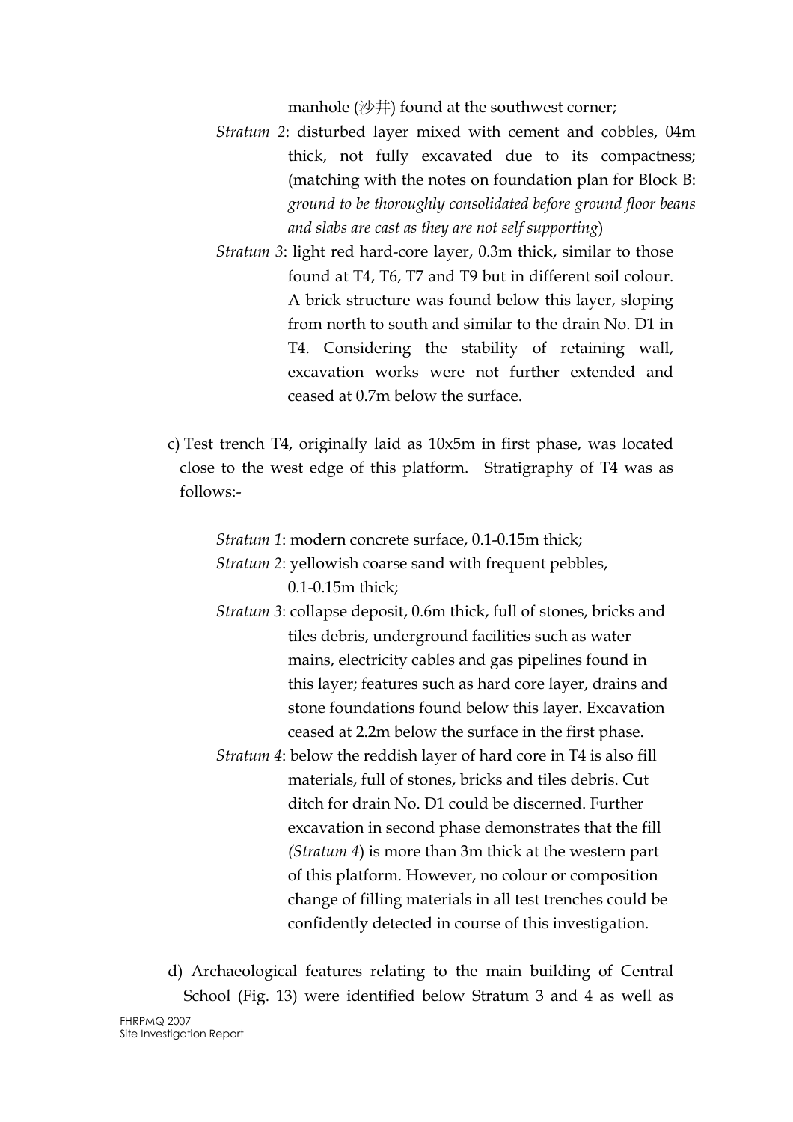manhole (沙井) found at the southwest corner;

- Stratum 2: disturbed layer mixed with cement and cobbles, 04m thick, not fully excavated due to its compactness; (matching with the notes on foundation plan for Block B: ground to be thoroughly consolidated before ground floor beans and slabs are cast as they are not self supporting)
- Stratum 3: light red hard-core layer, 0.3m thick, similar to those found at T4, T6, T7 and T9 but in different soil colour. A brick structure was found below this layer, sloping from north to south and similar to the drain No. D1 in T4. Considering the stability of retaining wall, excavation works were not further extended and ceased at 0.7m below the surface.
- c) Test trench T4, originally laid as 10x5m in first phase, was located close to the west edge of this platform. Stratigraphy of T4 was as follows:-

Stratum 1: modern concrete surface, 0.1-0.15m thick;

- Stratum 2: yellowish coarse sand with frequent pebbles, 0.1-0.15m thick;
- Stratum 3: collapse deposit, 0.6m thick, full of stones, bricks and tiles debris, underground facilities such as water mains, electricity cables and gas pipelines found in this layer; features such as hard core layer, drains and stone foundations found below this layer. Excavation ceased at 2.2m below the surface in the first phase.
- Stratum 4: below the reddish layer of hard core in T4 is also fill materials, full of stones, bricks and tiles debris. Cut ditch for drain No. D1 could be discerned. Further excavation in second phase demonstrates that the fill (Stratum 4) is more than 3m thick at the western part of this platform. However, no colour or composition change of filling materials in all test trenches could be confidently detected in course of this investigation.

d) Archaeological features relating to the main building of Central School (Fig. 13) were identified below Stratum 3 and 4 as well as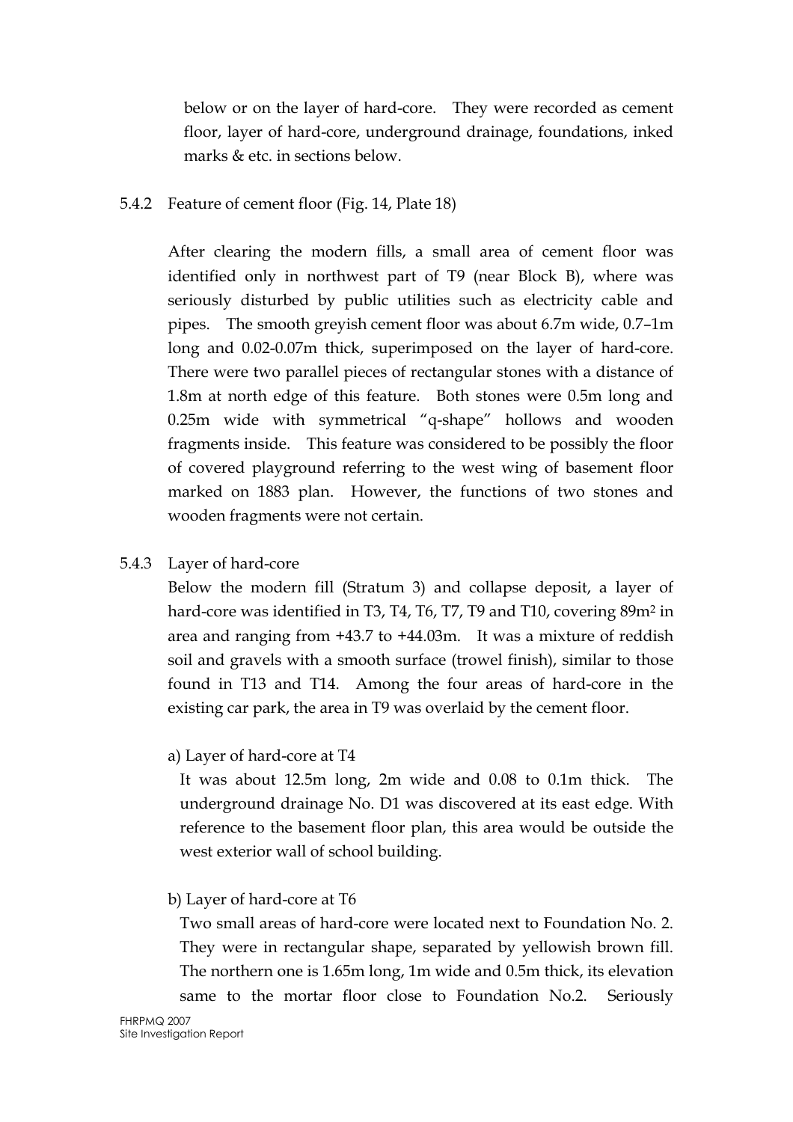below or on the layer of hard-core. They were recorded as cement floor, layer of hard-core, underground drainage, foundations, inked marks & etc. in sections below.

#### 5.4.2 Feature of cement floor (Fig. 14, Plate 18)

After clearing the modern fills, a small area of cement floor was identified only in northwest part of T9 (near Block B), where was seriously disturbed by public utilities such as electricity cable and pipes. The smooth greyish cement floor was about 6.7m wide, 0.7–1m long and 0.02-0.07m thick, superimposed on the layer of hard-core. There were two parallel pieces of rectangular stones with a distance of 1.8m at north edge of this feature. Both stones were 0.5m long and 0.25m wide with symmetrical "q-shape" hollows and wooden fragments inside. This feature was considered to be possibly the floor of covered playground referring to the west wing of basement floor marked on 1883 plan. However, the functions of two stones and wooden fragments were not certain.

#### 5.4.3 Layer of hard-core

Below the modern fill (Stratum 3) and collapse deposit, a layer of hard-core was identified in T3, T4, T6, T7, T9 and T10, covering 89m<sup>2</sup> in area and ranging from +43.7 to +44.03m. It was a mixture of reddish soil and gravels with a smooth surface (trowel finish), similar to those found in T13 and T14. Among the four areas of hard-core in the existing car park, the area in T9 was overlaid by the cement floor.

#### a) Layer of hard-core at T4

It was about 12.5m long, 2m wide and 0.08 to 0.1m thick. The underground drainage No. D1 was discovered at its east edge. With reference to the basement floor plan, this area would be outside the west exterior wall of school building.

## b) Layer of hard-core at T6

 Two small areas of hard-core were located next to Foundation No. 2. They were in rectangular shape, separated by yellowish brown fill. The northern one is 1.65m long, 1m wide and 0.5m thick, its elevation same to the mortar floor close to Foundation No.2. Seriously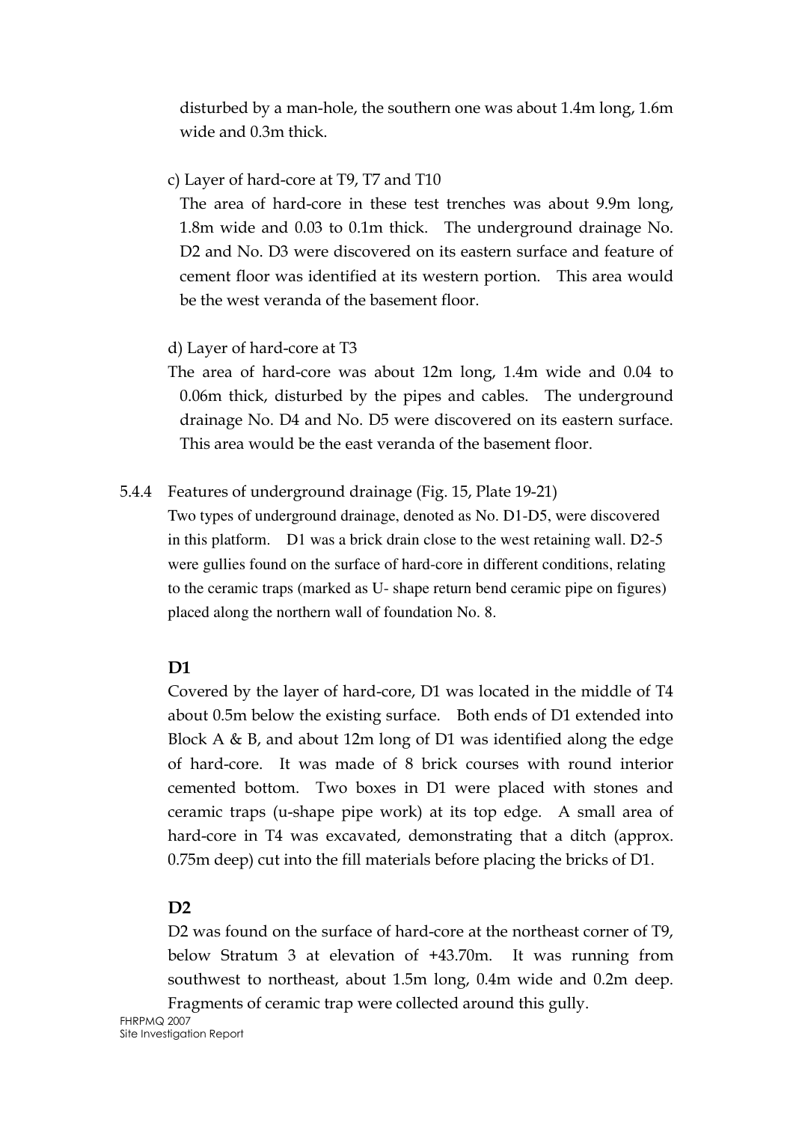disturbed by a man-hole, the southern one was about 1.4m long, 1.6m wide and 0.3m thick.

## c) Layer of hard-core at T9, T7 and T10

The area of hard-core in these test trenches was about 9.9m long, 1.8m wide and 0.03 to 0.1m thick. The underground drainage No. D2 and No. D3 were discovered on its eastern surface and feature of cement floor was identified at its western portion. This area would be the west veranda of the basement floor.

## d) Layer of hard-core at T3

The area of hard-core was about 12m long, 1.4m wide and 0.04 to 0.06m thick, disturbed by the pipes and cables. The underground drainage No. D4 and No. D5 were discovered on its eastern surface. This area would be the east veranda of the basement floor.

## 5.4.4 Features of underground drainage (Fig. 15, Plate 19-21)

Two types of underground drainage, denoted as No. D1-D5, were discovered in this platform. D1 was a brick drain close to the west retaining wall. D2-5 were gullies found on the surface of hard-core in different conditions, relating to the ceramic traps (marked as U- shape return bend ceramic pipe on figures) placed along the northern wall of foundation No. 8.

# D<sub>1</sub>

Covered by the layer of hard-core, D1 was located in the middle of T4 about 0.5m below the existing surface. Both ends of D1 extended into Block A & B, and about 12m long of D1 was identified along the edge of hard-core. It was made of 8 brick courses with round interior cemented bottom. Two boxes in D1 were placed with stones and ceramic traps (u-shape pipe work) at its top edge. A small area of hard-core in T4 was excavated, demonstrating that a ditch (approx. 0.75m deep) cut into the fill materials before placing the bricks of D1.

# $D2$

D2 was found on the surface of hard-core at the northeast corner of T9, below Stratum 3 at elevation of +43.70m. It was running from southwest to northeast, about 1.5m long, 0.4m wide and 0.2m deep. Fragments of ceramic trap were collected around this gully.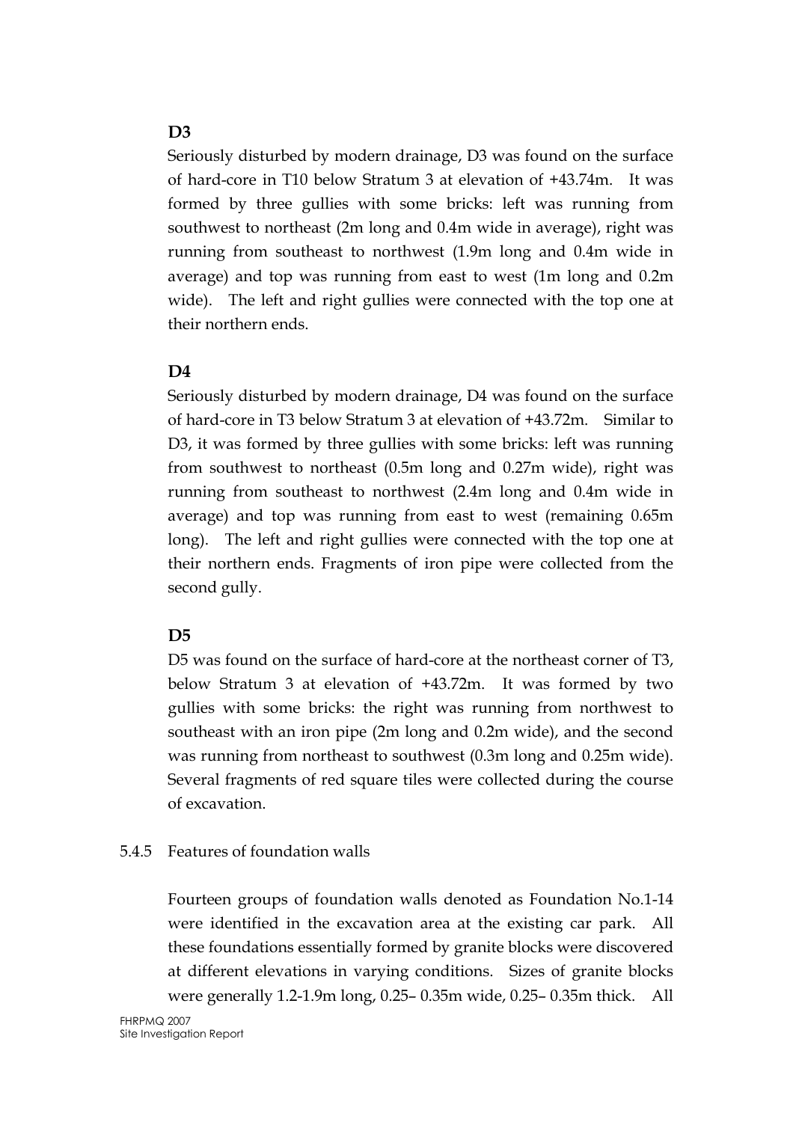#### D<sub>3</sub>

Seriously disturbed by modern drainage, D3 was found on the surface of hard-core in T10 below Stratum 3 at elevation of +43.74m. It was formed by three gullies with some bricks: left was running from southwest to northeast (2m long and 0.4m wide in average), right was running from southeast to northwest (1.9m long and 0.4m wide in average) and top was running from east to west (1m long and 0.2m wide). The left and right gullies were connected with the top one at their northern ends.

## D<sub>4</sub>

Seriously disturbed by modern drainage, D4 was found on the surface of hard-core in T3 below Stratum 3 at elevation of +43.72m. Similar to D3, it was formed by three gullies with some bricks: left was running from southwest to northeast (0.5m long and 0.27m wide), right was running from southeast to northwest (2.4m long and 0.4m wide in average) and top was running from east to west (remaining 0.65m long). The left and right gullies were connected with the top one at their northern ends. Fragments of iron pipe were collected from the second gully.

## D<sub>5</sub>

D5 was found on the surface of hard-core at the northeast corner of T3, below Stratum 3 at elevation of +43.72m. It was formed by two gullies with some bricks: the right was running from northwest to southeast with an iron pipe (2m long and 0.2m wide), and the second was running from northeast to southwest (0.3m long and 0.25m wide). Several fragments of red square tiles were collected during the course of excavation.

## 5.4.5 Features of foundation walls

Fourteen groups of foundation walls denoted as Foundation No.1-14 were identified in the excavation area at the existing car park. All these foundations essentially formed by granite blocks were discovered at different elevations in varying conditions. Sizes of granite blocks were generally 1.2-1.9m long, 0.25– 0.35m wide, 0.25– 0.35m thick. All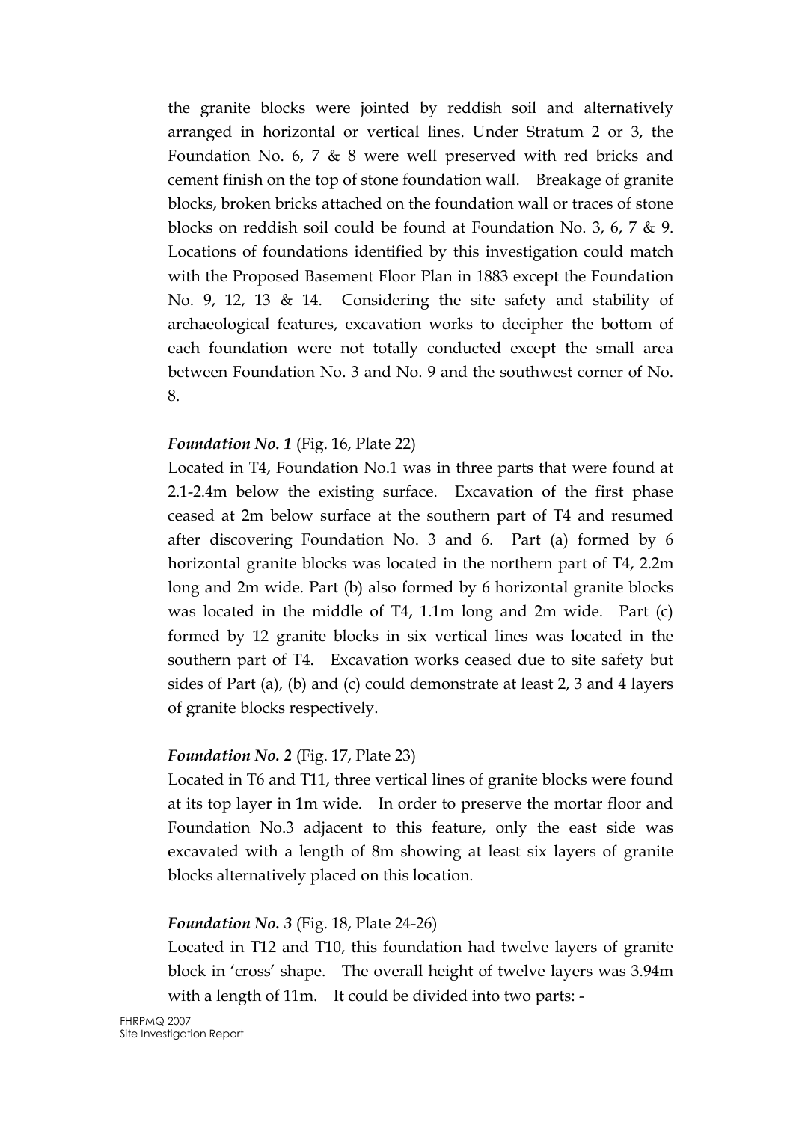the granite blocks were jointed by reddish soil and alternatively arranged in horizontal or vertical lines. Under Stratum 2 or 3, the Foundation No. 6, 7 & 8 were well preserved with red bricks and cement finish on the top of stone foundation wall. Breakage of granite blocks, broken bricks attached on the foundation wall or traces of stone blocks on reddish soil could be found at Foundation No. 3, 6, 7 & 9. Locations of foundations identified by this investigation could match with the Proposed Basement Floor Plan in 1883 except the Foundation No. 9, 12, 13 & 14. Considering the site safety and stability of archaeological features, excavation works to decipher the bottom of each foundation were not totally conducted except the small area between Foundation No. 3 and No. 9 and the southwest corner of No. 8.

#### Foundation No. 1 (Fig. 16, Plate 22)

Located in T4, Foundation No.1 was in three parts that were found at 2.1-2.4m below the existing surface. Excavation of the first phase ceased at 2m below surface at the southern part of T4 and resumed after discovering Foundation No. 3 and 6. Part (a) formed by 6 horizontal granite blocks was located in the northern part of T4, 2.2m long and 2m wide. Part (b) also formed by 6 horizontal granite blocks was located in the middle of T4, 1.1m long and 2m wide. Part (c) formed by 12 granite blocks in six vertical lines was located in the southern part of T4. Excavation works ceased due to site safety but sides of Part (a), (b) and (c) could demonstrate at least 2, 3 and 4 layers of granite blocks respectively.

#### Foundation No. 2 (Fig. 17, Plate 23)

Located in T6 and T11, three vertical lines of granite blocks were found at its top layer in 1m wide. In order to preserve the mortar floor and Foundation No.3 adjacent to this feature, only the east side was excavated with a length of 8m showing at least six layers of granite blocks alternatively placed on this location.

## Foundation No. 3 (Fig. 18, Plate 24-26)

Located in T12 and T10, this foundation had twelve layers of granite block in 'cross' shape. The overall height of twelve layers was 3.94m with a length of 11m. It could be divided into two parts: -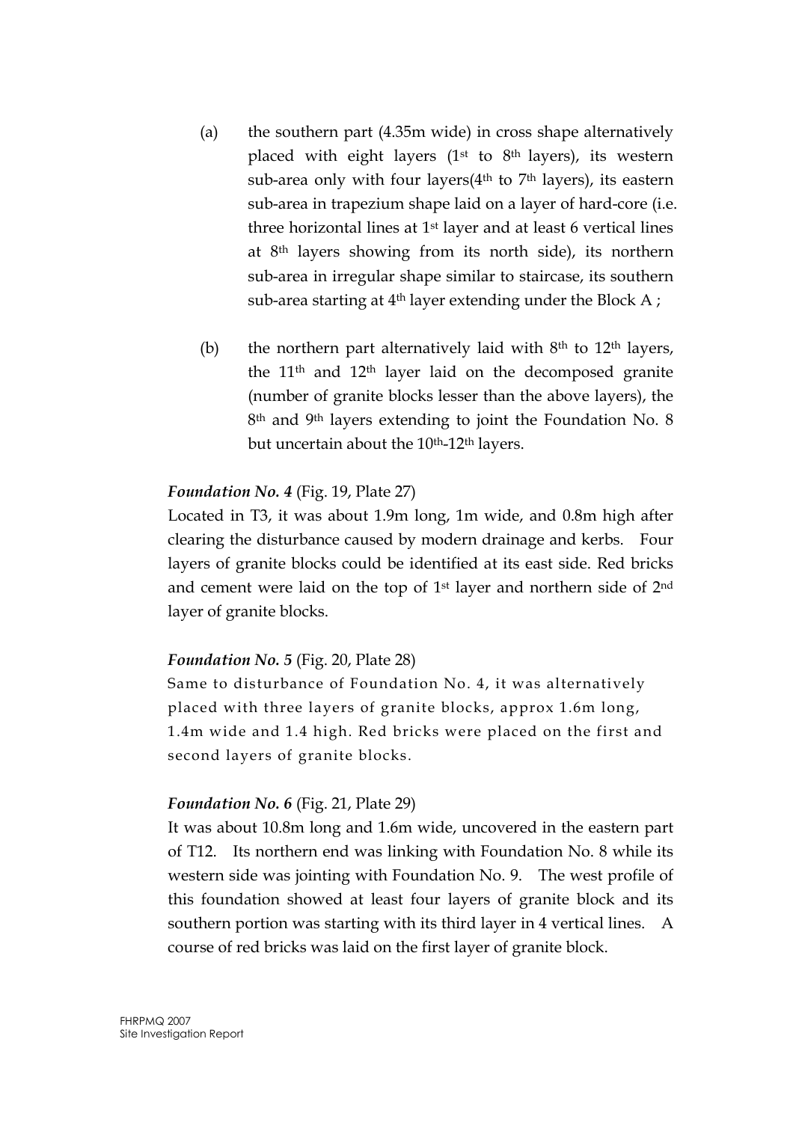- (a) the southern part (4.35m wide) in cross shape alternatively placed with eight layers  $(1<sup>st</sup>$  to  $8<sup>th</sup>$  layers), its western sub-area only with four layers( $4<sup>th</sup>$  to  $7<sup>th</sup>$  layers), its eastern sub-area in trapezium shape laid on a layer of hard-core (i.e. three horizontal lines at 1st layer and at least 6 vertical lines at 8th layers showing from its north side), its northern sub-area in irregular shape similar to staircase, its southern sub-area starting at 4<sup>th</sup> layer extending under the Block A;
- (b) the northern part alternatively laid with  $8<sup>th</sup>$  to  $12<sup>th</sup>$  layers, the 11th and 12th layer laid on the decomposed granite (number of granite blocks lesser than the above layers), the 8th and 9th layers extending to joint the Foundation No. 8 but uncertain about the 10<sup>th</sup>-12<sup>th</sup> layers.

#### Foundation No. 4 (Fig. 19, Plate 27)

Located in T3, it was about 1.9m long, 1m wide, and 0.8m high after clearing the disturbance caused by modern drainage and kerbs. Four layers of granite blocks could be identified at its east side. Red bricks and cement were laid on the top of 1st layer and northern side of 2nd layer of granite blocks.

#### Foundation No. 5 (Fig. 20, Plate 28)

Same to disturbance of Foundation No. 4, it was alternatively placed with three layers of granite blocks, approx 1.6m long, 1.4m wide and 1.4 high. Red bricks were placed on the first and second layers of granite blocks.

#### Foundation No. 6 (Fig. 21, Plate 29)

It was about 10.8m long and 1.6m wide, uncovered in the eastern part of T12. Its northern end was linking with Foundation No. 8 while its western side was jointing with Foundation No. 9. The west profile of this foundation showed at least four layers of granite block and its southern portion was starting with its third layer in 4 vertical lines. A course of red bricks was laid on the first layer of granite block.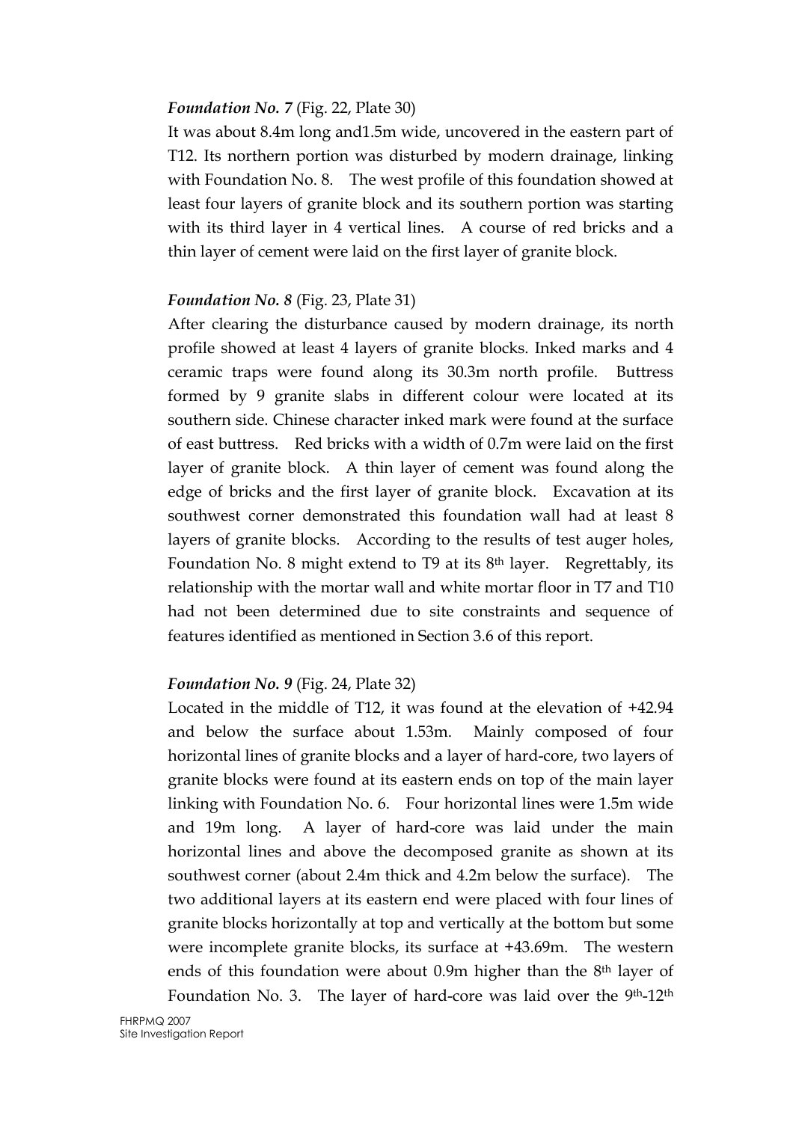#### Foundation No. 7 (Fig. 22, Plate 30)

It was about 8.4m long and1.5m wide, uncovered in the eastern part of T12. Its northern portion was disturbed by modern drainage, linking with Foundation No. 8. The west profile of this foundation showed at least four layers of granite block and its southern portion was starting with its third layer in 4 vertical lines. A course of red bricks and a thin layer of cement were laid on the first layer of granite block.

#### Foundation No. 8 (Fig. 23, Plate 31)

After clearing the disturbance caused by modern drainage, its north profile showed at least 4 layers of granite blocks. Inked marks and 4 ceramic traps were found along its 30.3m north profile. Buttress formed by 9 granite slabs in different colour were located at its southern side. Chinese character inked mark were found at the surface of east buttress. Red bricks with a width of 0.7m were laid on the first layer of granite block. A thin layer of cement was found along the edge of bricks and the first layer of granite block. Excavation at its southwest corner demonstrated this foundation wall had at least 8 layers of granite blocks. According to the results of test auger holes, Foundation No. 8 might extend to T9 at its  $8<sup>th</sup>$  layer. Regrettably, its relationship with the mortar wall and white mortar floor in T7 and T10 had not been determined due to site constraints and sequence of features identified as mentioned in Section 3.6 of this report.

#### Foundation No. 9 (Fig. 24, Plate 32)

Located in the middle of T12, it was found at the elevation of +42.94 and below the surface about 1.53m. Mainly composed of four horizontal lines of granite blocks and a layer of hard-core, two layers of granite blocks were found at its eastern ends on top of the main layer linking with Foundation No. 6. Four horizontal lines were 1.5m wide and 19m long. A layer of hard-core was laid under the main horizontal lines and above the decomposed granite as shown at its southwest corner (about 2.4m thick and 4.2m below the surface). The two additional layers at its eastern end were placed with four lines of granite blocks horizontally at top and vertically at the bottom but some were incomplete granite blocks, its surface at +43.69m. The western ends of this foundation were about 0.9m higher than the 8th layer of Foundation No. 3. The layer of hard-core was laid over the 9<sup>th</sup>-12<sup>th</sup>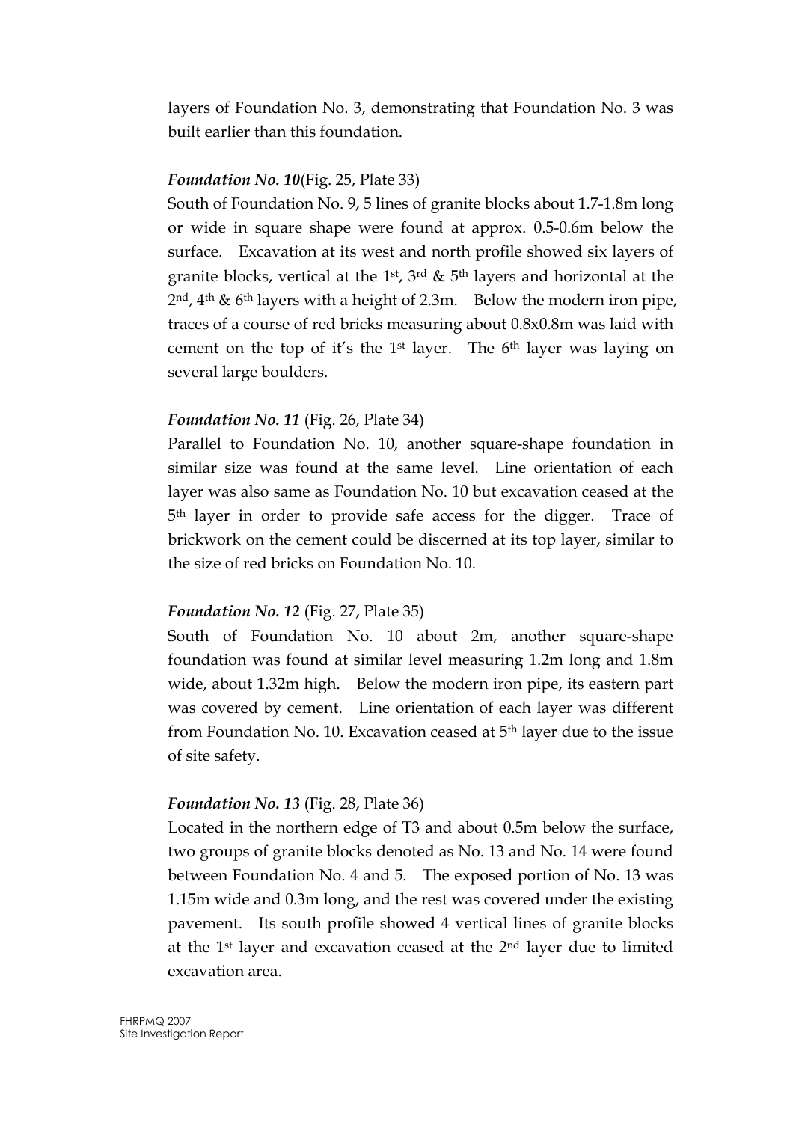layers of Foundation No. 3, demonstrating that Foundation No. 3 was built earlier than this foundation.

#### Foundation No. 10(Fig. 25, Plate 33)

South of Foundation No. 9, 5 lines of granite blocks about 1.7-1.8m long or wide in square shape were found at approx. 0.5-0.6m below the surface. Excavation at its west and north profile showed six layers of granite blocks, vertical at the 1<sup>st</sup>, 3<sup>rd</sup> & 5<sup>th</sup> layers and horizontal at the  $2<sup>nd</sup>$ , 4<sup>th</sup> & 6<sup>th</sup> layers with a height of 2.3m. Below the modern iron pipe, traces of a course of red bricks measuring about 0.8x0.8m was laid with cement on the top of it's the 1<sup>st</sup> layer. The  $6<sup>th</sup>$  layer was laying on several large boulders.

#### Foundation No. 11 (Fig. 26, Plate 34)

Parallel to Foundation No. 10, another square-shape foundation in similar size was found at the same level. Line orientation of each layer was also same as Foundation No. 10 but excavation ceased at the 5th layer in order to provide safe access for the digger. Trace of brickwork on the cement could be discerned at its top layer, similar to the size of red bricks on Foundation No. 10.

## Foundation No. 12 (Fig. 27, Plate 35)

South of Foundation No. 10 about 2m, another square-shape foundation was found at similar level measuring 1.2m long and 1.8m wide, about 1.32m high. Below the modern iron pipe, its eastern part was covered by cement. Line orientation of each layer was different from Foundation No. 10. Excavation ceased at 5th layer due to the issue of site safety.

## Foundation No. 13 (Fig. 28, Plate 36)

Located in the northern edge of T3 and about 0.5m below the surface, two groups of granite blocks denoted as No. 13 and No. 14 were found between Foundation No. 4 and 5. The exposed portion of No. 13 was 1.15m wide and 0.3m long, and the rest was covered under the existing pavement. Its south profile showed 4 vertical lines of granite blocks at the 1st layer and excavation ceased at the 2nd layer due to limited excavation area.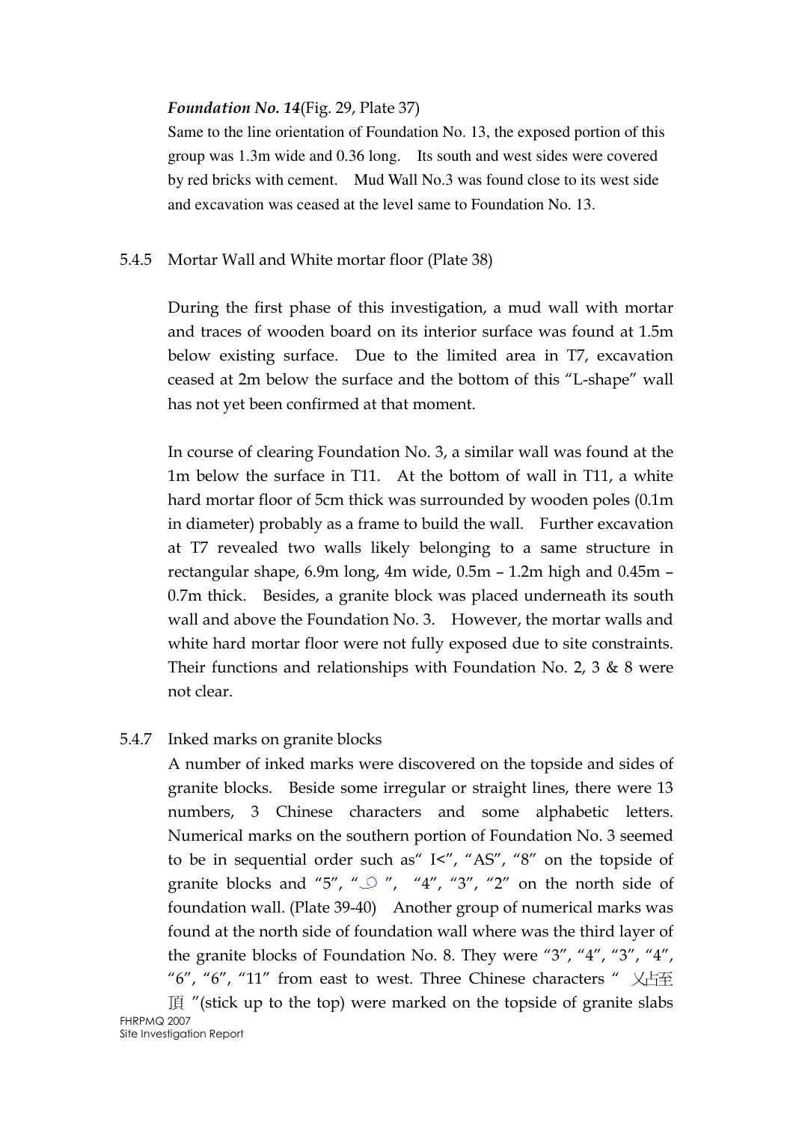#### Foundation No. 14(Fig. 29, Plate 37)

Same to the line orientation of Foundation No. 13, the exposed portion of this group was 1.3m wide and 0.36 long. Its south and west sides were covered by red bricks with cement. Mud Wall No.3 was found close to its west side and excavation was ceased at the level same to Foundation No. 13.

#### 5.4.5 Mortar Wall and White mortar floor (Plate 38)

During the first phase of this investigation, a mud wall with mortar and traces of wooden board on its interior surface was found at 1.5m below existing surface. Due to the limited area in T7, excavation ceased at 2m below the surface and the bottom of this "L-shape" wall has not yet been confirmed at that moment.

In course of clearing Foundation No. 3, a similar wall was found at the 1m below the surface in T11. At the bottom of wall in T11, a white hard mortar floor of 5cm thick was surrounded by wooden poles (0.1m in diameter) probably as a frame to build the wall. Further excavation at T7 revealed two walls likely belonging to a same structure in rectangular shape, 6.9m long, 4m wide, 0.5m – 1.2m high and 0.45m – 0.7m thick. Besides, a granite block was placed underneath its south wall and above the Foundation No. 3. However, the mortar walls and white hard mortar floor were not fully exposed due to site constraints. Their functions and relationships with Foundation No. 2, 3  $\&$  8 were not clear.

#### 5.4.7 Inked marks on granite blocks

A number of inked marks were discovered on the topside and sides of granite blocks. Beside some irregular or straight lines, there were 13 numbers, 3 Chinese characters and some alphabetic letters. Numerical marks on the southern portion of Foundation No. 3 seemed to be in sequential order such as" I<", "AS", "8" on the topside of granite blocks and "5", " $\bigcirc$ ", "4", "3", "2" on the north side of foundation wall. (Plate 39-40) Another group of numerical marks was found at the north side of foundation wall where was the third layer of the granite blocks of Foundation No. 8. They were "3", "4", "3", "4", "6", "6", "11" from east to west. Three Chinese characters "  $\chi$ 占至  $\mathbb{E}$  "(stick up to the top) were marked on the topside of granite slabs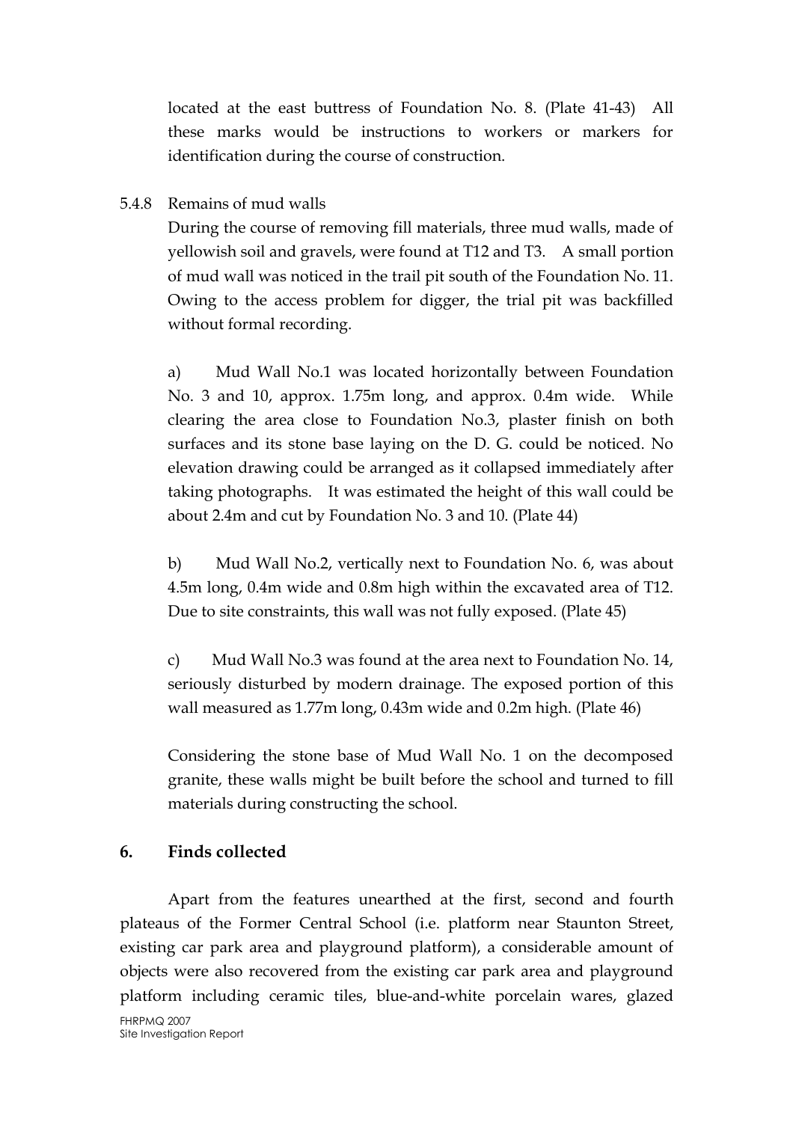located at the east buttress of Foundation No. 8. (Plate 41-43) All these marks would be instructions to workers or markers for identification during the course of construction.

#### 5.4.8 Remains of mud walls

During the course of removing fill materials, three mud walls, made of yellowish soil and gravels, were found at T12 and T3. A small portion of mud wall was noticed in the trail pit south of the Foundation No. 11. Owing to the access problem for digger, the trial pit was backfilled without formal recording.

a) Mud Wall No.1 was located horizontally between Foundation No. 3 and 10, approx. 1.75m long, and approx. 0.4m wide. While clearing the area close to Foundation No.3, plaster finish on both surfaces and its stone base laying on the D. G. could be noticed. No elevation drawing could be arranged as it collapsed immediately after taking photographs. It was estimated the height of this wall could be about 2.4m and cut by Foundation No. 3 and 10. (Plate 44)

b) Mud Wall No.2, vertically next to Foundation No. 6, was about 4.5m long, 0.4m wide and 0.8m high within the excavated area of T12. Due to site constraints, this wall was not fully exposed. (Plate 45)

c) Mud Wall No.3 was found at the area next to Foundation No. 14, seriously disturbed by modern drainage. The exposed portion of this wall measured as 1.77m long, 0.43m wide and 0.2m high. (Plate 46)

Considering the stone base of Mud Wall No. 1 on the decomposed granite, these walls might be built before the school and turned to fill materials during constructing the school.

## 6. Finds collected

Apart from the features unearthed at the first, second and fourth plateaus of the Former Central School (i.e. platform near Staunton Street, existing car park area and playground platform), a considerable amount of objects were also recovered from the existing car park area and playground platform including ceramic tiles, blue-and-white porcelain wares, glazed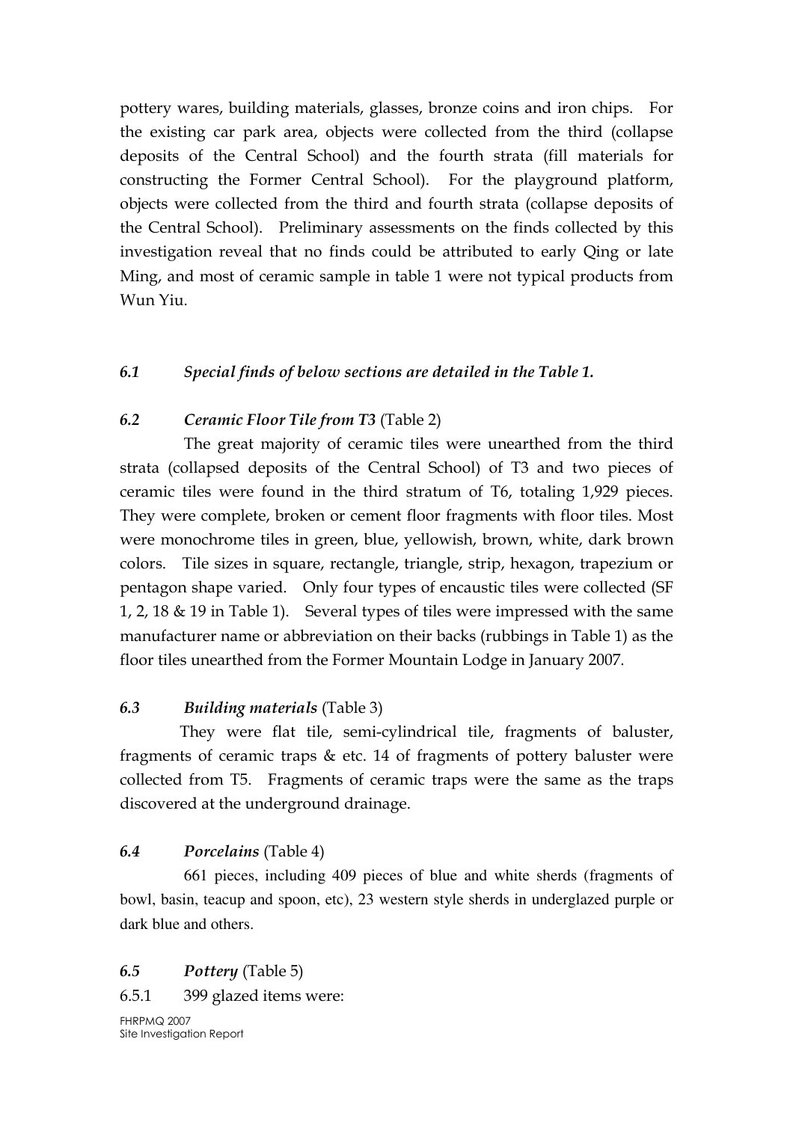pottery wares, building materials, glasses, bronze coins and iron chips. For the existing car park area, objects were collected from the third (collapse deposits of the Central School) and the fourth strata (fill materials for constructing the Former Central School). For the playground platform, objects were collected from the third and fourth strata (collapse deposits of the Central School). Preliminary assessments on the finds collected by this investigation reveal that no finds could be attributed to early Qing or late Ming, and most of ceramic sample in table 1 were not typical products from Wun Yiu.

#### 6.1 Special finds of below sections are detailed in the Table 1.

#### 6.2 Ceramic Floor Tile from T3 (Table 2)

The great majority of ceramic tiles were unearthed from the third strata (collapsed deposits of the Central School) of T3 and two pieces of ceramic tiles were found in the third stratum of T6, totaling 1,929 pieces. They were complete, broken or cement floor fragments with floor tiles. Most were monochrome tiles in green, blue, yellowish, brown, white, dark brown colors. Tile sizes in square, rectangle, triangle, strip, hexagon, trapezium or pentagon shape varied. Only four types of encaustic tiles were collected (SF 1, 2, 18 & 19 in Table 1). Several types of tiles were impressed with the same manufacturer name or abbreviation on their backs (rubbings in Table 1) as the floor tiles unearthed from the Former Mountain Lodge in January 2007.

## 6.3 Building materials (Table 3)

They were flat tile, semi-cylindrical tile, fragments of baluster, fragments of ceramic traps & etc. 14 of fragments of pottery baluster were collected from T5. Fragments of ceramic traps were the same as the traps discovered at the underground drainage.

## 6.4 Porcelains (Table 4)

661 pieces, including 409 pieces of blue and white sherds (fragments of bowl, basin, teacup and spoon, etc), 23 western style sherds in underglazed purple or dark blue and others.

## 6.5 Pottery (Table 5)

#### 6.5.1 399 glazed items were:

FHRPMQ 2007 Site Investigation Report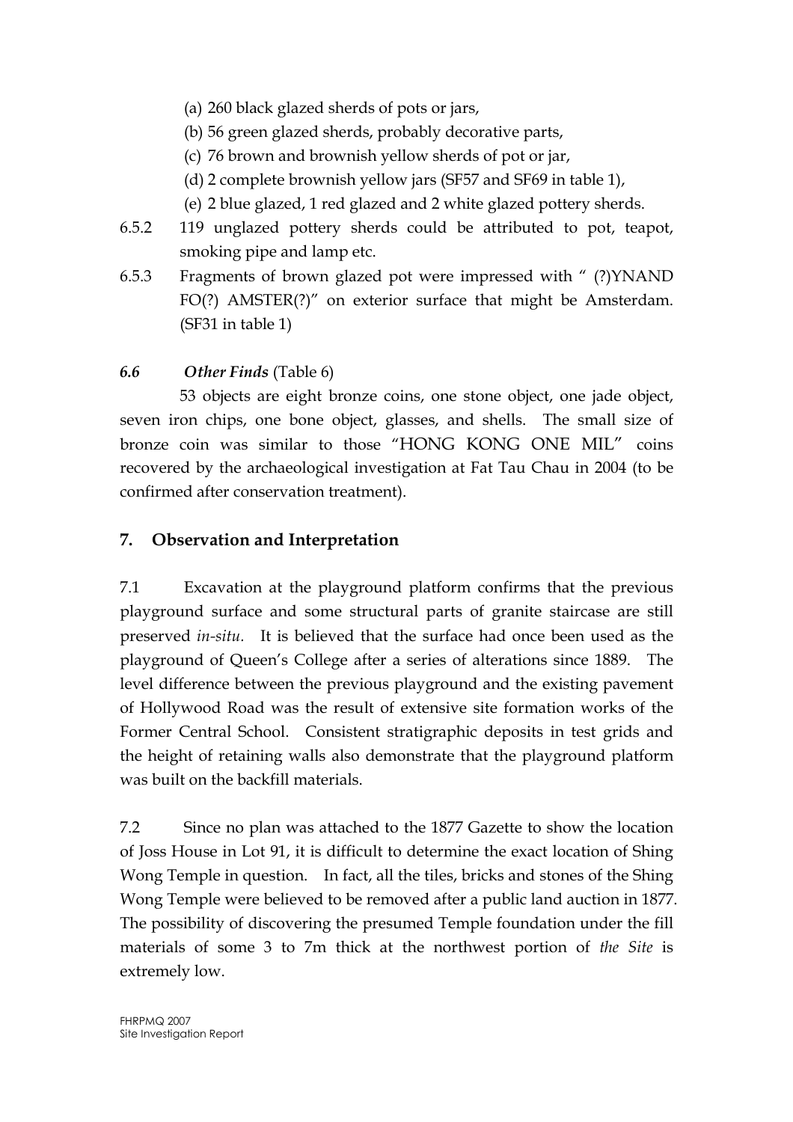- (a) 260 black glazed sherds of pots or jars,
- (b) 56 green glazed sherds, probably decorative parts,
- (c) 76 brown and brownish yellow sherds of pot or jar,
- (d) 2 complete brownish yellow jars (SF57 and SF69 in table 1),
- (e) 2 blue glazed, 1 red glazed and 2 white glazed pottery sherds.
- 6.5.2 119 unglazed pottery sherds could be attributed to pot, teapot, smoking pipe and lamp etc.
- 6.5.3 Fragments of brown glazed pot were impressed with " (?)YNAND FO(?) AMSTER(?)" on exterior surface that might be Amsterdam. (SF31 in table 1)

## 6.6 Other Finds (Table 6)

53 objects are eight bronze coins, one stone object, one jade object, seven iron chips, one bone object, glasses, and shells. The small size of bronze coin was similar to those "HONG KONG ONE MIL" coins recovered by the archaeological investigation at Fat Tau Chau in 2004 (to be confirmed after conservation treatment).

## 7. Observation and Interpretation

7.1 Excavation at the playground platform confirms that the previous playground surface and some structural parts of granite staircase are still preserved in-situ. It is believed that the surface had once been used as the playground of Queen's College after a series of alterations since 1889. The level difference between the previous playground and the existing pavement of Hollywood Road was the result of extensive site formation works of the Former Central School. Consistent stratigraphic deposits in test grids and the height of retaining walls also demonstrate that the playground platform was built on the backfill materials.

7.2 Since no plan was attached to the 1877 Gazette to show the location of Joss House in Lot 91, it is difficult to determine the exact location of Shing Wong Temple in question. In fact, all the tiles, bricks and stones of the Shing Wong Temple were believed to be removed after a public land auction in 1877. The possibility of discovering the presumed Temple foundation under the fill materials of some 3 to 7m thick at the northwest portion of the Site is extremely low.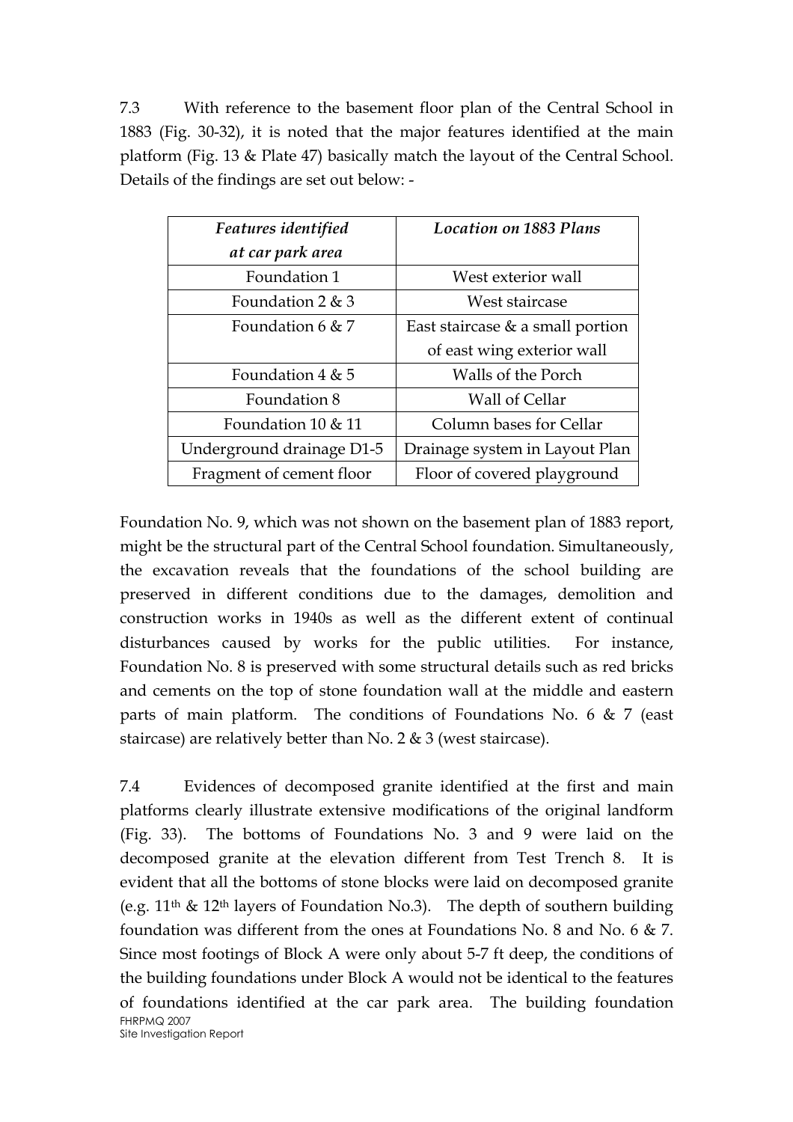7.3 With reference to the basement floor plan of the Central School in 1883 (Fig. 30-32), it is noted that the major features identified at the main platform (Fig. 13 & Plate 47) basically match the layout of the Central School. Details of the findings are set out below: -

| Features identified       | <b>Location on 1883 Plans</b>       |
|---------------------------|-------------------------------------|
| at car park area          |                                     |
| Foundation 1              | West exterior wall                  |
| Foundation $2 \& 3$       | West staircase                      |
| Foundation 6 & 7          | East staircase $\&$ a small portion |
|                           | of east wing exterior wall          |
| Foundation $4 \& 5$       | Walls of the Porch                  |
| Foundation 8              | Wall of Cellar                      |
| Foundation 10 & 11        | Column bases for Cellar             |
| Underground drainage D1-5 | Drainage system in Layout Plan      |
| Fragment of cement floor  | Floor of covered playground         |

Foundation No. 9, which was not shown on the basement plan of 1883 report, might be the structural part of the Central School foundation. Simultaneously, the excavation reveals that the foundations of the school building are preserved in different conditions due to the damages, demolition and construction works in 1940s as well as the different extent of continual disturbances caused by works for the public utilities. For instance, Foundation No. 8 is preserved with some structural details such as red bricks and cements on the top of stone foundation wall at the middle and eastern parts of main platform. The conditions of Foundations No. 6 & 7 (east staircase) are relatively better than No. 2 & 3 (west staircase).

FHRPMQ 2007 Site Investigation Report 7.4 Evidences of decomposed granite identified at the first and main platforms clearly illustrate extensive modifications of the original landform (Fig. 33). The bottoms of Foundations No. 3 and 9 were laid on the decomposed granite at the elevation different from Test Trench 8. It is evident that all the bottoms of stone blocks were laid on decomposed granite (e.g.  $11<sup>th</sup>$  &  $12<sup>th</sup>$  layers of Foundation No.3). The depth of southern building foundation was different from the ones at Foundations No. 8 and No. 6 & 7. Since most footings of Block A were only about 5-7 ft deep, the conditions of the building foundations under Block A would not be identical to the features of foundations identified at the car park area. The building foundation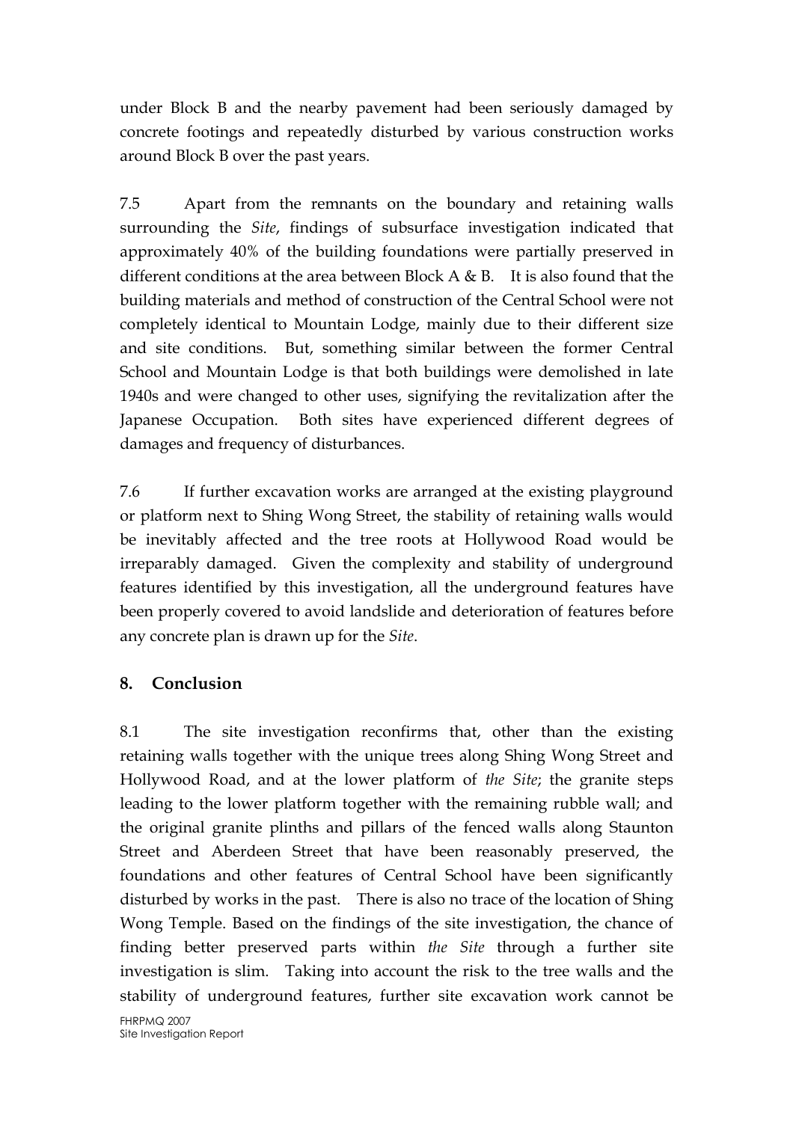under Block B and the nearby pavement had been seriously damaged by concrete footings and repeatedly disturbed by various construction works around Block B over the past years.

7.5 Apart from the remnants on the boundary and retaining walls surrounding the Site, findings of subsurface investigation indicated that approximately 40% of the building foundations were partially preserved in different conditions at the area between Block A & B. It is also found that the building materials and method of construction of the Central School were not completely identical to Mountain Lodge, mainly due to their different size and site conditions. But, something similar between the former Central School and Mountain Lodge is that both buildings were demolished in late 1940s and were changed to other uses, signifying the revitalization after the Japanese Occupation. Both sites have experienced different degrees of damages and frequency of disturbances.

7.6 If further excavation works are arranged at the existing playground or platform next to Shing Wong Street, the stability of retaining walls would be inevitably affected and the tree roots at Hollywood Road would be irreparably damaged. Given the complexity and stability of underground features identified by this investigation, all the underground features have been properly covered to avoid landslide and deterioration of features before any concrete plan is drawn up for the Site.

# 8. Conclusion

8.1 The site investigation reconfirms that, other than the existing retaining walls together with the unique trees along Shing Wong Street and Hollywood Road, and at the lower platform of the Site; the granite steps leading to the lower platform together with the remaining rubble wall; and the original granite plinths and pillars of the fenced walls along Staunton Street and Aberdeen Street that have been reasonably preserved, the foundations and other features of Central School have been significantly disturbed by works in the past. There is also no trace of the location of Shing Wong Temple. Based on the findings of the site investigation, the chance of finding better preserved parts within the Site through a further site investigation is slim. Taking into account the risk to the tree walls and the stability of underground features, further site excavation work cannot be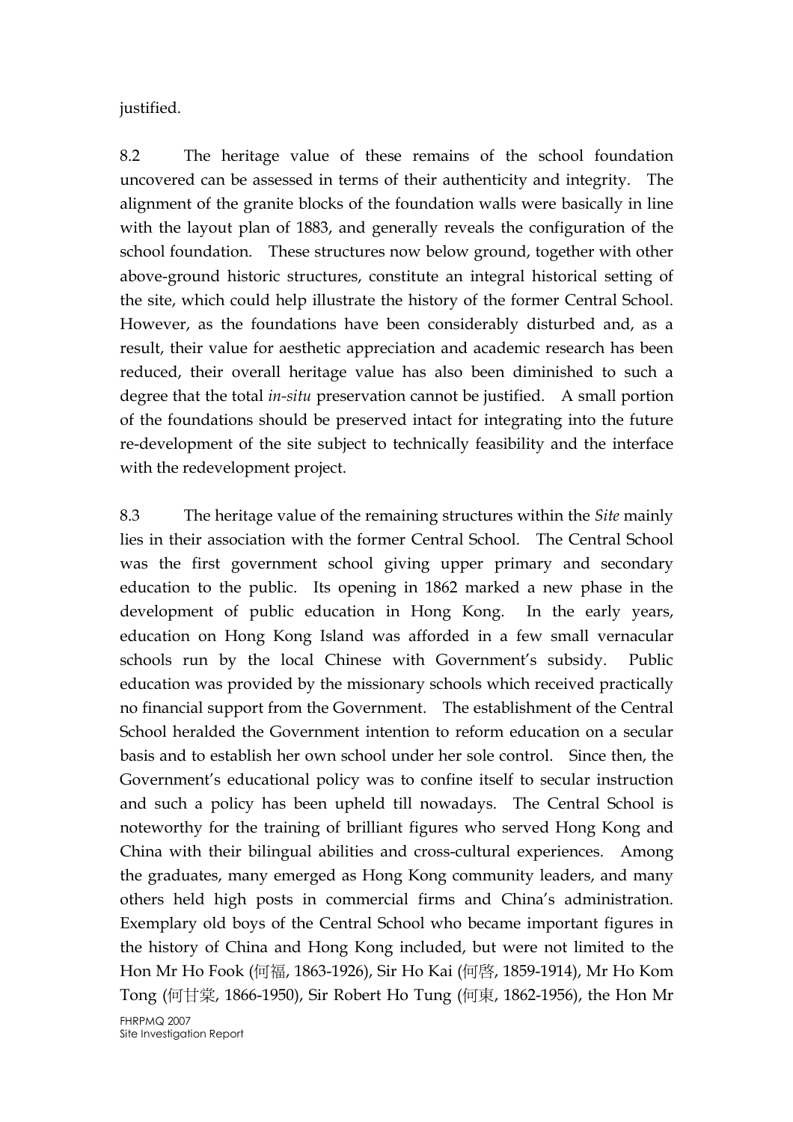justified.

8.2 The heritage value of these remains of the school foundation uncovered can be assessed in terms of their authenticity and integrity. The alignment of the granite blocks of the foundation walls were basically in line with the layout plan of 1883, and generally reveals the configuration of the school foundation. These structures now below ground, together with other above-ground historic structures, constitute an integral historical setting of the site, which could help illustrate the history of the former Central School. However, as the foundations have been considerably disturbed and, as a result, their value for aesthetic appreciation and academic research has been reduced, their overall heritage value has also been diminished to such a degree that the total in-situ preservation cannot be justified. A small portion of the foundations should be preserved intact for integrating into the future re-development of the site subject to technically feasibility and the interface with the redevelopment project.

8.3 The heritage value of the remaining structures within the *Site* mainly lies in their association with the former Central School. The Central School was the first government school giving upper primary and secondary education to the public. Its opening in 1862 marked a new phase in the development of public education in Hong Kong. In the early years, education on Hong Kong Island was afforded in a few small vernacular schools run by the local Chinese with Government's subsidy. Public education was provided by the missionary schools which received practically no financial support from the Government. The establishment of the Central School heralded the Government intention to reform education on a secular basis and to establish her own school under her sole control. Since then, the Government's educational policy was to confine itself to secular instruction and such a policy has been upheld till nowadays. The Central School is noteworthy for the training of brilliant figures who served Hong Kong and China with their bilingual abilities and cross-cultural experiences. Among the graduates, many emerged as Hong Kong community leaders, and many others held high posts in commercial firms and China's administration. Exemplary old boys of the Central School who became important figures in the history of China and Hong Kong included, but were not limited to the Hon Mr Ho Fook (何福, 1863-1926), Sir Ho Kai (何啟, 1859-1914), Mr Ho Kom Tong (何甘棠, 1866-1950), Sir Robert Ho Tung (何東, 1862-1956), the Hon Mr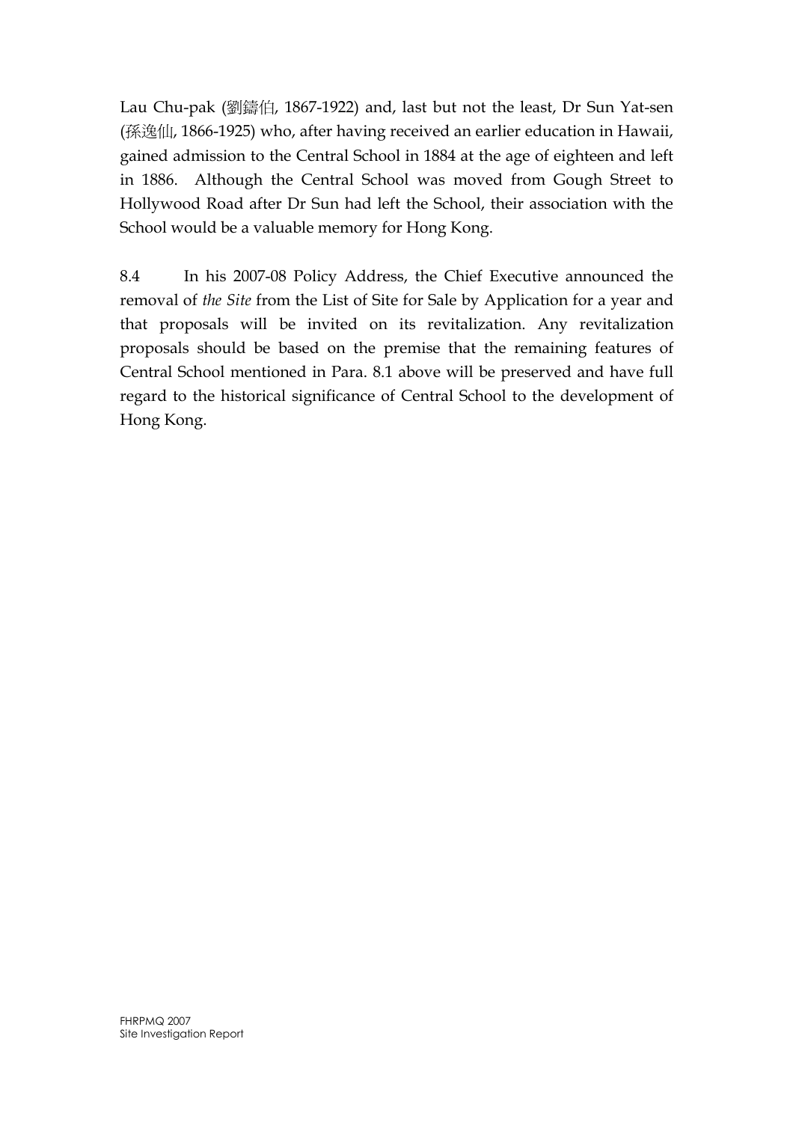Lau Chu-pak (劉鑄伯, 1867-1922) and, last but not the least, Dr Sun Yat-sen (孫逸仙, 1866-1925) who, after having received an earlier education in Hawaii, gained admission to the Central School in 1884 at the age of eighteen and left in 1886. Although the Central School was moved from Gough Street to Hollywood Road after Dr Sun had left the School, their association with the School would be a valuable memory for Hong Kong.

8.4 In his 2007-08 Policy Address, the Chief Executive announced the removal of the Site from the List of Site for Sale by Application for a year and that proposals will be invited on its revitalization. Any revitalization proposals should be based on the premise that the remaining features of Central School mentioned in Para. 8.1 above will be preserved and have full regard to the historical significance of Central School to the development of Hong Kong.